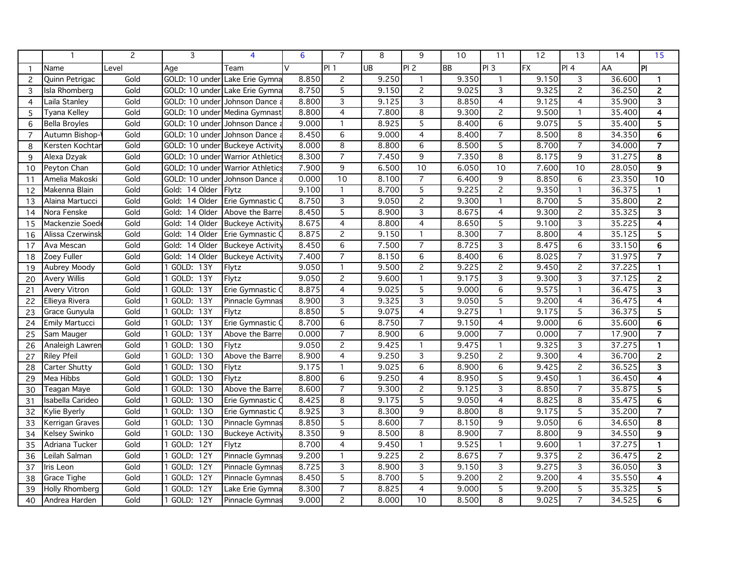|                |                       | 2     | 3                               | 4                              | 6      | $\overline{7}$           | 8     | 9               | 10        | 11                        | 12        | 13              | 14     | 15                      |
|----------------|-----------------------|-------|---------------------------------|--------------------------------|--------|--------------------------|-------|-----------------|-----------|---------------------------|-----------|-----------------|--------|-------------------------|
| -1             | Name                  | Level | Aqe                             | Team                           | $\vee$ | PI1                      | UB    | PI <sub>2</sub> | <b>BB</b> | PI <sub>3</sub>           | <b>FX</b> | PI 4            | AA     | $\overline{P}$          |
| 2              | Quinn Petrigac        | Gold  |                                 | GOLD: 10 under Lake Erie Gymna | 8.850  | $\overline{2}$           | 9.250 | $\mathbf{1}$    | 9.350     | $\mathbf{1}$              | 9.150     | 3               | 36.600 | 1                       |
| 3              | Isla Rhomberg         | Gold  |                                 | GOLD: 10 under Lake Erie Gymna | 8.750  | $\overline{5}$           | 9.150 | $\overline{c}$  | 9.025     | $\overline{\overline{3}}$ | 9.325     | $\overline{c}$  | 36.250 | $\overline{2}$          |
| $\overline{4}$ | Laila Stanley         | Gold  | GOLD: 10 under                  | Johnson Dance                  | 8.800  | 3                        | 9.125 | 3               | 8.850     | $\overline{4}$            | 9.125     | $\overline{4}$  | 35.900 | 3                       |
| 5              | Tyana Kelley          | Gold  | GOLD: 10 under                  | Medina Gymnast                 | 8.800  | 4                        | 7.800 | 8               | 9.300     | $\overline{2}$            | 9.500     | 1               | 35.400 | 4                       |
| 6              | <b>Bella Broyles</b>  | Gold  | GOLD: 10 under Johnson Dance    |                                | 9.000  | $\mathbf{1}$             | 8.925 | 5               | 8.400     | 6                         | 9.075     | 5               | 35.400 | $\overline{5}$          |
| $\overline{7}$ | Autumn Bishop-        | Gold  | GOLD: 10 under                  | Johnson Dance                  | 8.450  | 6                        | 9.000 | 4               | 8.400     | $\overline{7}$            | 8.500     | 8               | 34.350 | 6                       |
| 8              | Kersten Kochtar       | Gold  | GOLD: 10 under Buckeye Activity |                                | 8.000  | 8                        | 8.800 | 6               | 8.500     | 5                         | 8.700     | $\overline{7}$  | 34.000 | $\overline{7}$          |
| 9              | Alexa Dzyak           | Gold  | GOLD: 10 under                  | <b>Warrior Athletics</b>       | 8.300  | $\overline{7}$           | 7.450 | 9               | 7.350     | $\overline{8}$            | 8.175     | 9               | 31.275 | 8                       |
| 10             | Peyton Chan           | Gold  | GOLD: 10 under                  | <b>Warrior Athletics</b>       | 7.900  | 9                        | 6.500 | $\overline{10}$ | 6.050     | 10                        | 7.600     | $\overline{10}$ | 28.050 | $\overline{9}$          |
| 11             | Amelia Makoski        | Gold  | GOLD: 10 under                  | Johnson Dance                  | 0.000  | 10                       | 8.100 | $\overline{7}$  | 6.400     | 9                         | 8.850     | 6               | 23.350 | $\overline{10}$         |
| 12             | Makenna Blain         | Gold  | Gold: 14 Older                  | Flytz                          | 9.100  | $\mathbf{1}$             | 8.700 | 5               | 9.225     | $\overline{2}$            | 9.350     | $\mathbf{1}$    | 36.375 | 1                       |
| 13             | Alaina Martucci       | Gold  | Gold: 14 Older                  | Erie Gymnastic (               | 8.750  | $\overline{3}$           | 9.050 | $\overline{2}$  | 9.300     | $\mathbf{1}$              | 8.700     | 5               | 35.800 | $\mathbf{2}$            |
| 14             | Nora Fenske           | Gold  | 14 Older<br>Gold:               | Above the Barre                | 8.450  | $\overline{5}$           | 8.900 | $\overline{3}$  | 8.675     | $\overline{4}$            | 9.300     | $\overline{2}$  | 35.325 | 3                       |
| 15             | Mackenzie Soed        | Gold  | 14 Older<br>Gold:               | <b>Buckeye Activity</b>        | 8.675  | 4                        | 8.800 | 4               | 8.650     | 5                         | 9.100     | 3               | 35.225 | 4                       |
| 16             | Alissa Czerwinsk      | Gold  | 14 Older<br>Gold:               | Erie Gymnastic (               | 8.875  | $\overline{c}$           | 9.150 | 1               | 8.300     | $\overline{7}$            | 8.800     | $\overline{4}$  | 35.125 | 5                       |
| 17             | Ava Mescan            | Gold  | Gold: 14 Older                  | <b>Buckeye Activity</b>        | 8.450  | $\overline{6}$           | 7.500 | $\overline{7}$  | 8.725     | 3                         | 8.475     | 6               | 33.150 | 6                       |
| 18             | Zoey Fuller           | Gold  | Gold: 14 Older                  | <b>Buckeye Activity</b>        | 7.400  | $\overline{7}$           | 8.150 | 6               | 8.400     | $\overline{6}$            | 8.025     | $\overline{7}$  | 31.975 | $\overline{7}$          |
| 19             | Aubrey Moody          | Gold  | 1 GOLD: 13Y                     | Flytz                          | 9.050  | $\mathbf{1}$             | 9.500 | $\overline{c}$  | 9.225     | $\overline{c}$            | 9.450     | $\overline{2}$  | 37.225 | $\mathbf{1}$            |
| 20             | Avery Willis          | Gold  | 1 GOLD:<br>13Y                  | Flytz                          | 9.050  | $\overline{c}$           | 9.600 | $\mathbf{1}$    | 9.175     | 3                         | 9.300     | 3               | 37.125 | $\overline{c}$          |
| 21             | Avery Vitron          | Gold  | 1 GOLD: 13Y                     | Erie Gymnastic O               | 8.875  | 4                        | 9.025 | 5               | 9.000     | 6                         | 9.575     | $\mathbf{1}$    | 36.475 | 3                       |
| 22             | Ellieva Rivera        | Gold  | 1 GOLD: 13Y                     | Pinnacle Gymnas                | 8.900  | $\overline{3}$           | 9.325 | 3               | 9.050     | $\overline{5}$            | 9.200     | $\overline{4}$  | 36.475 | $\overline{4}$          |
| 23             | Grace Gunyula         | Gold  | 1 GOLD: 13Y                     | Flytz                          | 8.850  | $\overline{5}$           | 9.075 | 4               | 9.275     | $\mathbf{1}$              | 9.175     | 5               | 36.375 | 5                       |
| 24             | <b>Emily Martucci</b> | Gold  | GOLD:<br>$\overline{13Y}$       | Erie Gymnastic                 | 8.700  | 6                        | 8.750 | $\overline{7}$  | 9.150     | $\overline{4}$            | 9.000     | 6               | 35.600 | $\overline{6}$          |
| 25             | Sam Mauger            | Gold  | 1 GOLD: 13Y                     | Above the Barre                | 0.000  | $\overline{7}$           | 8.900 | 6               | 9.000     | $\overline{7}$            | 0.000     | $\overline{7}$  | 17.900 | $\overline{7}$          |
| 26             | Analeigh Lawren       | Gold  | GOLD: 130                       | Flytz                          | 9.050  | $\overline{2}$           | 9.425 | $\mathbf{1}$    | 9.475     | $\mathbf{1}$              | 9.325     | 3               | 37.275 | 1                       |
| 27             | <b>Riley Pfeil</b>    | Gold  | 130<br>GOLD:                    | Above the Barre                | 8.900  | $\overline{4}$           | 9.250 | 3               | 9.250     | $\overline{c}$            | 9.300     | $\overline{4}$  | 36.700 | $\overline{2}$          |
| 28             | Carter Shutty         | Gold  | GOLD: 130                       | Flytz                          | 9.175  | $\mathbf{1}$             | 9.025 | 6               | 8.900     | 6                         | 9.425     | $\overline{c}$  | 36.525 | $\overline{\mathbf{3}}$ |
| 29             | Mea Hibbs             | Gold  | GOLD: 130                       | Flytz                          | 8.800  | 6                        | 9.250 | $\overline{4}$  | 8.950     | $\overline{5}$            | 9.450     | $\mathbf{1}$    | 36.450 | $\overline{4}$          |
| 30             | Teagan Maye           | Gold  | 1 GOLD: 130                     | Above the Barre                | 8.600  | $\overline{7}$           | 9.300 | $\overline{2}$  | 9.125     | $\overline{3}$            | 8.850     | $\overline{7}$  | 35.875 | 5                       |
| 31             | Isabella Carideo      | Gold  | 1 GOLD: 130                     | Erie Gymnastic (               | 8.425  | 8                        | 9.175 | 5               | 9.050     | 4                         | 8.825     | 8               | 35.475 | 6                       |
| 32             | Kylie Byerly          | Gold  | GOLD: 130                       | Erie Gymnastic (               | 8.925  | $\overline{3}$           | 8.300 | 9               | 8.800     | 8                         | 9.175     | 5               | 35.200 | $\overline{\mathbf{r}}$ |
| 33             | Kerrigan Graves       | Gold  | GOLD: 130                       | Pinnacle Gymnas                | 8.850  | $\overline{5}$           | 8.600 | $\overline{7}$  | 8.150     | $\overline{9}$            | 9.050     | $\overline{6}$  | 34.650 | 8                       |
| 34             | Kelsey Swinko         | Gold  | 1 GOLD: 130                     | <b>Buckeye Activity</b>        | 8.350  | 9                        | 8.500 | 8               | 8.900     | $\overline{7}$            | 8.800     | 9               | 34.550 | $\boldsymbol{9}$        |
| 35             | Adriana Tucker        | Gold  | GOLD:<br>$\overline{12Y}$       | Flytz                          | 8.700  | $\overline{\mathcal{L}}$ | 9.450 | $\mathbf{1}$    | 9.525     | $\mathbf{1}$              | 9.600     | $\mathbf{1}$    | 37.275 | $\mathbf{1}$            |
| 36             | Leilah Salman         | Gold  | 1 GOLD: 12Y                     | Pinnacle Gymnas                | 9.200  | $\mathbf{1}$             | 9.225 | $\overline{2}$  | 8.675     | $\overline{7}$            | 9.375     | $\overline{c}$  | 36.475 | $\mathbf{2}$            |
| 37             | Iris Leon             | Gold  | GOLD: 12Y                       | Pinnacle Gymnas                | 8.725  | $\overline{3}$           | 8.900 | 3               | 9.150     | 3                         | 9.275     | 3               | 36.050 | 3                       |
| 38             | Grace Tighe           | Gold  | GOLD: 12Y                       | Pinnacle Gymnas                | 8.450  | 5                        | 8.700 | 5               | 9.200     | $\mathbf{2}$              | 9.200     | $\overline{4}$  | 35.550 | 4                       |
| 39             | Holly Rhomberg        | Gold  | GOLD:<br>12Y                    | Lake Erie Gymna                | 8.300  | $\overline{7}$           | 8.825 | $\overline{4}$  | 9.000     | $\overline{5}$            | 9.200     | 5               | 35.325 | 5                       |
| 40             | Andrea Harden         | Gold  | 1 GOLD: 12Y                     | Pinnacle Gymnas                | 9.000  | $\overline{c}$           | 8.000 | 10              | 8.500     | 8                         | 9.025     | $\overline{7}$  | 34.525 | 6                       |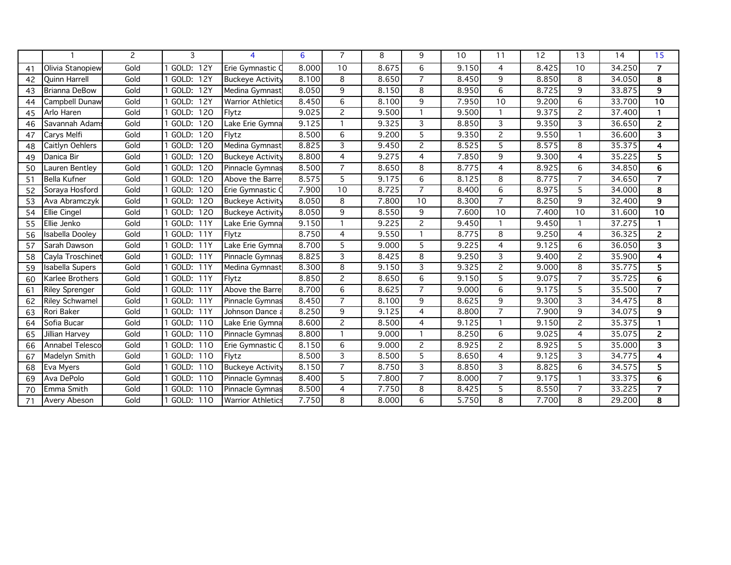|    |                       | $\overline{c}$ | 3                | 4                        | 6     | $\overline{7}$ | 8     | 9              | 10    | 11             | 12    | 13             | 14     | 15                      |
|----|-----------------------|----------------|------------------|--------------------------|-------|----------------|-------|----------------|-------|----------------|-------|----------------|--------|-------------------------|
| 41 | Olivia Stanopiew      | Gold           | <b>GOLD: 12Y</b> | Erie Gymnastic (         | 8.000 | 10             | 8.675 | 6              | 9.150 | $\overline{4}$ | 8.425 | 10             | 34.250 | $\overline{7}$          |
| 42 | <b>Quinn Harrell</b>  | Gold           | GOLD: 12Y        | <b>Buckeye Activity</b>  | 8.100 | 8              | 8.650 | $\overline{7}$ | 8.450 | 9              | 8.850 | 8              | 34.050 | $\overline{\mathbf{8}}$ |
| 43 | Brianna DeBow         | Gold           | GOLD: 12Y        | Medina Gymnast           | 8.050 | 9              | 8.150 | 8              | 8.950 | 6              | 8.725 | 9              | 33.875 | 9                       |
| 44 | Campbell Dunaw        | Gold           | GOLD: 12Y        | <b>Warrior Athletics</b> | 8.450 | 6              | 8.100 | 9              | 7.950 | 10             | 9.200 | 6              | 33.700 | 10                      |
| 45 | Arlo Haren            | Gold           | GOLD: 120        | Flytz                    | 9.025 | 2              | 9.500 | $\mathbf{1}$   | 9.500 | $\mathbf{1}$   | 9.375 | 2              | 37.400 | 1                       |
| 46 | Savannah Adam         | Gold           | GOLD: 120        | Lake Erie Gymna          | 9.125 | $\mathbf{1}$   | 9.325 | 3              | 8.850 | 3              | 9.350 | 3              | 36.650 | $\overline{2}$          |
| 47 | Carys Melfi           | Gold           | GOLD: 120        | Flytz                    | 8.500 | 6              | 9.200 | 5              | 9.350 | $\mathbf{2}$   | 9.550 |                | 36.600 | 3                       |
| 48 | Caitlyn Oehlers       | Gold           | GOLD: 120        | Medina Gymnast           | 8.825 | 3              | 9.450 | 2              | 8.525 | 5              | 8.575 | 8              | 35.375 | 4                       |
| 49 | Danica Bir            | Gold           | GOLD: 120        | <b>Buckeye Activity</b>  | 8.800 | $\overline{4}$ | 9.275 | 4              | 7.850 | 9              | 9.300 | $\overline{4}$ | 35.225 | 5                       |
| 50 | Lauren Bentley        | Gold           | GOLD: 120        | Pinnacle Gymnas          | 8.500 | $\overline{7}$ | 8.650 | 8              | 8.775 | $\overline{4}$ | 8.925 | 6              | 34.850 | 6                       |
| 51 | <b>Bella Kufner</b>   | Gold           | GOLD: 120        | Above the Barre          | 8.575 | 5              | 9.175 | 6              | 8.125 | 8              | 8.775 | $\overline{7}$ | 34.650 | $\overline{7}$          |
| 52 | Soraya Hosford        | Gold           | GOLD: 120        | Erie Gymnastic (         | 7.900 | 10             | 8.725 | $\overline{7}$ | 8.400 | 6              | 8.975 | 5              | 34.000 | 8                       |
| 53 | Ava Abramczyk         | Gold           | GOLD: 120        | <b>Buckeye Activity</b>  | 8.050 | 8              | 7.800 | 10             | 8.300 | $\overline{7}$ | 8.250 | $\overline{9}$ | 32.400 | $\overline{9}$          |
| 54 | <b>Ellie Cingel</b>   | Gold           | GOLD: 120        | <b>Buckeye Activity</b>  | 8.050 | 9              | 8.550 | 9              | 7.600 | 10             | 7.400 | 10             | 31.600 | 10                      |
| 55 | Ellie Jenko           | Gold           | GOLD: 11Y        | Lake Erie Gymna          | 9.150 | $\mathbf{1}$   | 9.225 | $\overline{c}$ | 9.450 | $\mathbf{1}$   | 9.450 |                | 37.275 | 1                       |
| 56 | Isabella Dooley       | Gold           | GOLD: 11Y        | Flytz                    | 8.750 | 4              | 9.550 | $\mathbf{1}$   | 8.775 | 8              | 9.250 | $\overline{4}$ | 36.325 | $\overline{2}$          |
| 57 | Sarah Dawson          | Gold           | GOLD: 11Y        | Lake Erie Gymna          | 8.700 | 5              | 9.000 | 5              | 9.225 | 4              | 9.125 | 6              | 36.050 | 3                       |
| 58 | Cayla Troschinet      | Gold           | GOLD: 11Y        | Pinnacle Gymnas          | 8.825 | 3              | 8.425 | 8              | 9.250 | 3              | 9.400 | $\overline{2}$ | 35.900 | 4                       |
| 59 | Isabella Supers       | Gold           | GOLD: 11Y        | Medina Gymnast           | 8.300 | 8              | 9.150 | 3              | 9.325 | $\overline{c}$ | 9.000 | 8              | 35.775 | 5                       |
| 60 | Karlee Brothers       | Gold           | <b>GOLD: 11Y</b> | Flytz                    | 8.850 | $\overline{c}$ | 8.650 | 6              | 9.150 | 5              | 9.075 | $\overline{7}$ | 35.725 | 6                       |
| 61 | <b>Riley Sprenger</b> | Gold           | GOLD: 11Y        | Above the Barre          | 8.700 | 6              | 8.625 | $\overline{7}$ | 9.000 | 6              | 9.175 | 5              | 35.500 | $\overline{7}$          |
| 62 | <b>Riley Schwamel</b> | Gold           | <b>GOLD: 11Y</b> | Pinnacle Gymnas          | 8.450 | $\overline{7}$ | 8.100 | 9              | 8.625 | 9              | 9.300 | 3              | 34.475 | 8                       |
| 63 | Rori Baker            | Gold           | GOLD: 11Y        | Johnson Dance a          | 8.250 | 9              | 9.125 | 4              | 8.800 | $\overline{7}$ | 7.900 | 9              | 34.075 | 9                       |
| 64 | Sofia Bucar           | Gold           | GOLD: 110        | Lake Erie Gymna          | 8.600 | $\overline{c}$ | 8.500 | 4              | 9.125 | $\mathbf{1}$   | 9.150 | $\overline{2}$ | 35.375 | $\mathbf{1}$            |
| 65 | Jillian Harvey        | Gold           | GOLD: 110        | Pinnacle Gymnas          | 8.800 | $\mathbf{1}$   | 9.000 | $\mathbf{1}$   | 8.250 | 6              | 9.025 | $\overline{4}$ | 35.075 | $\overline{c}$          |
| 66 | Annabel Telesco       | Gold           | GOLD: 110        | Erie Gymnastic (         | 8.150 | 6              | 9.000 | $\overline{c}$ | 8.925 | $\mathbf{2}$   | 8.925 | 5              | 35.000 | 3                       |
| 67 | Madelyn Smith         | Gold           | GOLD: 110        | Flytz                    | 8.500 | 3              | 8.500 | 5              | 8.650 | 4              | 9.125 | 3              | 34.775 | 4                       |
| 68 | Eva Myers             | Gold           | GOLD: 110        | <b>Buckeye Activity</b>  | 8.150 | $\overline{7}$ | 8.750 | 3              | 8.850 | 3              | 8.825 | 6              | 34.575 | 5                       |
| 69 | Ava DePolo            | Gold           | GOLD: 110        | Pinnacle Gymnas          | 8.400 | $\overline{5}$ | 7.800 | $\overline{7}$ | 8.000 | $\overline{7}$ | 9.175 |                | 33.375 | 6                       |
| 70 | Emma Smith            | Gold           | GOLD: 110        | Pinnacle Gymnas          | 8.500 | 4              | 7.750 | 8              | 8.425 | 5              | 8.550 | $\overline{7}$ | 33.225 | $\overline{7}$          |
| 71 | Avery Abeson          | Gold           | GOLD: 110        | <b>Warrior Athletics</b> | 7.750 | 8              | 8.000 | 6              | 5.750 | 8              | 7.700 | 8              | 29.200 | 8                       |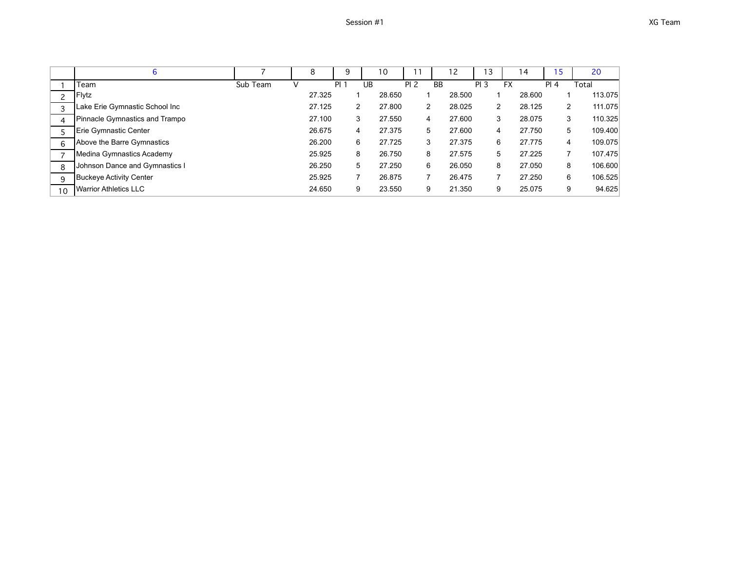|    | 6                              |          | 8      | 9    |    | 10     | 11              |           | 12     | ۱3              | 4         | 15   | 20                        |
|----|--------------------------------|----------|--------|------|----|--------|-----------------|-----------|--------|-----------------|-----------|------|---------------------------|
|    | Team                           | Sub Team |        | PI 1 | UB |        | PI <sub>2</sub> | <b>BB</b> |        | PI <sub>3</sub> | <b>FX</b> | PI 4 | Total                     |
| C  | Flytz                          |          | 27.325 |      |    | 28.650 |                 |           | 28.500 |                 | 28.600    |      | 113.075                   |
|    | Lake Erie Gymnastic School Inc |          | 27.125 | 2    |    | 27,800 | $\overline{2}$  |           | 28.025 | 2               | 28.125    |      | 111.075<br>$\overline{2}$ |
| 4  | Pinnacle Gymnastics and Trampo |          | 27.100 | 3    |    | 27.550 | 4               |           | 27.600 | 3               | 28.075    |      | 110.325<br>3              |
|    | Erie Gymnastic Center          |          | 26.675 | 4    |    | 27.375 | 5               |           | 27,600 | 4               | 27.750    |      | 5<br>109.400              |
| 6  | Above the Barre Gymnastics     |          | 26.200 | 6    |    | 27.725 | 3               |           | 27.375 | 6               | 27.775    |      | 109.075<br>4              |
|    | Medina Gymnastics Academy      |          | 25.925 | 8    |    | 26.750 | 8               |           | 27.575 | 5               | 27.225    |      | 107.475                   |
| 8  | Johnson Dance and Gymnastics I |          | 26.250 | 5    |    | 27.250 | 6               |           | 26.050 | 8               | 27.050    |      | 106.600<br>8              |
| 9  | <b>Buckeye Activity Center</b> |          | 25.925 |      |    | 26.875 |                 |           | 26.475 |                 | 27.250    |      | 6<br>106.525              |
| 10 | <b>Warrior Athletics LLC</b>   |          | 24.650 | 9    |    | 23.550 | 9               |           | 21.350 | 9               | 25.075    |      | 94.625<br>9               |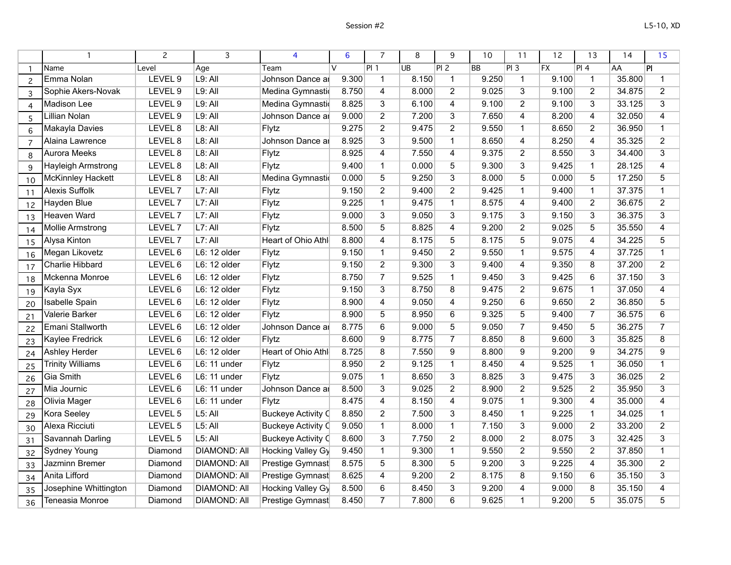|                |                          | $\overline{c}$     | 3                   | 4                         | 6      | $\overline{7}$  | 8         | 9              | 10        | 11              | 12    | 13                      | 14     | 15                      |
|----------------|--------------------------|--------------------|---------------------|---------------------------|--------|-----------------|-----------|----------------|-----------|-----------------|-------|-------------------------|--------|-------------------------|
|                | <b>Name</b>              | Level              | Age                 | Team                      | $\vee$ | PI <sub>1</sub> | <b>UB</b> | PI 2           | <b>BB</b> | PI3             | F X   | PI4                     | AA     | PI                      |
| $\mathcal{P}$  | Emma Nolan               | LEVEL 9            | L9: All             | Johnson Dance ar          | 9.300  | $\mathbf{1}$    | 8.150     | $\mathbf{1}$   | 9.250     | $\mathbf 1$     | 9.100 | $\mathbf{1}$            | 35.800 | $\mathbf 1$             |
| 3              | Sophie Akers-Novak       | LEVEL 9            | L9: All             | Medina Gymnastio          | 8.750  | 4               | 8.000     | $\overline{2}$ | 9.025     | 3               | 9.100 | $\overline{2}$          | 34.875 | $\overline{2}$          |
| $\overline{4}$ | <b>Madison Lee</b>       | LEVEL <sub>9</sub> | $L9:$ All           | Medina Gymnastio          | 8.825  | 3               | 6.100     | 4              | 9.100     | $\overline{2}$  | 9.100 | 3                       | 33.125 | $\overline{3}$          |
| 5              | Lillian Nolan            | LEVEL <sub>9</sub> | $L9:$ All           | Johnson Dance ar          | 9.000  | $\overline{2}$  | 7.200     | 3              | 7.650     | 4               | 8.200 | 4                       | 32.050 | 4                       |
| 6              | Makayla Davies           | LEVEL 8            | $L8:$ All           | Flytz                     | 9.275  | $\overline{2}$  | 9.475     | $\overline{2}$ | 9.550     | $\mathbf{1}$    | 8.650 | $\overline{2}$          | 36.950 | $\mathbf{1}$            |
| $\overline{7}$ | Alaina Lawrence          | LEVEL 8            | $L8:$ All           | Johnson Dance ar          | 8.925  | 3               | 9.500     | $\mathbf{1}$   | 8.650     | 4               | 8.250 | $\overline{\mathbf{4}}$ | 35.325 | $\overline{2}$          |
| 8              | <b>Aurora Meeks</b>      | LEVEL 8            | $L8:$ All           | Flytz                     | 8.925  | 4               | 7.550     | 4              | 9.375     | $\overline{2}$  | 8.550 | 3                       | 34.400 | 3                       |
| 9              | Hayleigh Armstrong       | LEVEL 8            | $L8:$ All           | Flytz                     | 9.400  | $\mathbf{1}$    | 0.000     | $\overline{5}$ | 9.300     | $\overline{3}$  | 9.425 | $\mathbf{1}$            | 28.125 | $\overline{4}$          |
| 10             | <b>McKinnley Hackett</b> | LEVEL 8            | $L8:$ All           | Medina Gymnastic          | 0.000  | 5               | 9.250     | $\overline{3}$ | 8.000     | 5               | 0.000 | 5                       | 17.250 | 5                       |
| 11             | <b>Alexis Suffolk</b>    | LEVEL <sub>7</sub> | $L7:$ All           | Flytz                     | 9.150  | $\overline{2}$  | 9.400     | $\overline{2}$ | 9.425     | $\mathbf{1}$    | 9.400 | $\overline{1}$          | 37.375 | $\overline{1}$          |
| 12             | <b>Hayden Blue</b>       | LEVEL <sub>7</sub> | $L7:$ All           | Flytz                     | 9.225  | $\mathbf{1}$    | 9.475     | $\mathbf{1}$   | 8.575     | 4               | 9.400 | $\overline{2}$          | 36.675 | $\overline{2}$          |
| 13             | <b>Heaven Ward</b>       | LEVEL <sub>7</sub> | L7: All             | Flytz                     | 9.000  | $\overline{3}$  | 9.050     | $\overline{3}$ | 9.175     | 3               | 9.150 | $\overline{3}$          | 36.375 | $\overline{3}$          |
| 14             | <b>Mollie Armstrong</b>  | LEVEL <sub>7</sub> | $L7:$ All           | Flytz                     | 8.500  | 5               | 8.825     | $\overline{4}$ | 9.200     | $\overline{2}$  | 9.025 | 5                       | 35.550 | $\overline{4}$          |
| 15             | <b>Alysa Kinton</b>      | LEVEL 7            | L7: All             | Heart of Ohio Athl        | 8.800  | 4               | 8.175     | 5              | 8.175     | 5               | 9.075 | 4                       | 34.225 | 5                       |
| 16             | Megan Likovetz           | LEVEL 6            | L6: 12 older        | Flytz                     | 9.150  | $\mathbf{1}$    | 9.450     | $\overline{2}$ | 9.550     | $\mathbf{1}$    | 9.575 | 4                       | 37.725 | $\mathbf{1}$            |
| 17             | Charlie Hibbard          | LEVEL 6            | L6: 12 older        | Flytz                     | 9.150  | $\overline{2}$  | 9.300     | $\overline{3}$ | 9.400     | $\overline{4}$  | 9.350 | 8                       | 37.200 | $\overline{2}$          |
| 18             | Mckenna Monroe           | LEVEL 6            | L6: 12 older        | Flytz                     | 8.750  | $\overline{7}$  | 9.525     | $\mathbf{1}$   | 9.450     | 3               | 9.425 | 6                       | 37.150 | $\overline{3}$          |
| 19             | Kayla Syx                | LEVEL 6            | L6: 12 older        | Flytz                     | 9.150  | 3               | 8.750     | 8              | 9.475     | $\overline{2}$  | 9.675 | $\mathbf{1}$            | 37.050 | $\overline{\mathbf{4}}$ |
| 20             | <b>Isabelle Spain</b>    | LEVEL 6            | L6: 12 older        | Flytz                     | 8.900  | 4               | 9.050     | 4              | 9.250     | $6\overline{6}$ | 9.650 | $\overline{2}$          | 36.850 | $\overline{5}$          |
| 21             | Valerie Barker           | LEVEL 6            | L6: 12 older        | Flytz                     | 8.900  | 5               | 8.950     | 6              | 9.325     | 5               | 9.400 | $\overline{7}$          | 36.575 | 6                       |
| 22             | Emani Stallworth         | LEVEL 6            | L6: 12 older        | Johnson Dance ar          | 8.775  | 6               | 9.000     | $\overline{5}$ | 9.050     | $\overline{7}$  | 9.450 | $\overline{5}$          | 36.275 | $\overline{7}$          |
| 23             | <b>Kaylee Fredrick</b>   | LEVEL 6            | L6: 12 older        | Flytz                     | 8.600  | 9               | 8.775     | $\overline{7}$ | 8.850     | 8               | 9.600 | 3                       | 35.825 | $\overline{8}$          |
| 24             | <b>Ashley Herder</b>     | LEVEL 6            | L6: 12 older        | Heart of Ohio Athl        | 8.725  | $\overline{8}$  | 7.550     | $\overline{9}$ | 8.800     | 9               | 9.200 | 9                       | 34.275 | $\overline{9}$          |
| 25             | <b>Trinity Williams</b>  | LEVEL 6            | L6: 11 under        | Flytz                     | 8.950  | $\overline{2}$  | 9.125     | $\mathbf{1}$   | 8.450     | 4               | 9.525 | $\mathbf{1}$            | 36.050 | $\mathbf{1}$            |
| 26             | Gia Smith                | LEVEL 6            | L6: 11 under        | Flytz                     | 9.075  | $\mathbf{1}$    | 8.650     | $\overline{3}$ | 8.825     | 3               | 9.475 | 3                       | 36.025 | $\overline{2}$          |
| 27             | Mia Journic              | LEVEL 6            | L6: 11 under        | Johnson Dance ar          | 8.500  | 3               | 9.025     | $\overline{2}$ | 8.900     | $\overline{2}$  | 9.525 | $\overline{2}$          | 35.950 | $\overline{3}$          |
| 28             | Olivia Mager             | LEVEL 6            | L6: 11 under        | Flytz                     | 8.475  | 4               | 8.150     | 4              | 9.075     | $\mathbf{1}$    | 9.300 | $\overline{4}$          | 35.000 | $\overline{4}$          |
| 29             | Kora Seeley              | LEVEL 5            | $L5:$ All           | <b>Buckeye Activity C</b> | 8.850  | $\overline{2}$  | 7.500     | 3              | 8.450     | $\mathbf{1}$    | 9.225 | $\mathbf{1}$            | 34.025 | $\mathbf{1}$            |
| 30             | Alexa Ricciuti           | LEVEL 5            | $L5:$ All           | <b>Buckeye Activity C</b> | 9.050  | $\mathbf{1}$    | 8.000     | $\mathbf{1}$   | 7.150     | 3               | 9.000 | $\overline{2}$          | 33.200 | $\overline{2}$          |
| 31             | Savannah Darling         | LEVEL 5            | $L5:$ All           | <b>Buckeye Activity C</b> | 8.600  | $\overline{3}$  | 7.750     | $\overline{2}$ | 8.000     | $\overline{2}$  | 8.075 | $\overline{3}$          | 32.425 | $\overline{3}$          |
| 32             | <b>Sydney Young</b>      | Diamond            | <b>DIAMOND: All</b> | <b>Hocking Valley Gy</b>  | 9.450  | $\mathbf{1}$    | 9.300     | $\mathbf{1}$   | 9.550     | $\overline{2}$  | 9.550 | $\overline{2}$          | 37.850 | $\mathbf{1}$            |
| 33             | Jazminn Bremer           | Diamond            | <b>DIAMOND: All</b> | Prestige Gymnast          | 8.575  | 5               | 8.300     | 5              | 9.200     | 3               | 9.225 | $\overline{4}$          | 35.300 | $\overline{2}$          |
| 34             | Anita Lifford            | Diamond            | <b>DIAMOND: All</b> | Prestige Gymnast          | 8.625  | 4               | 9.200     | $\overline{2}$ | 8.175     | 8               | 9.150 | 6                       | 35.150 | $\overline{3}$          |
| 35             | Josephine Whittington    | Diamond            | <b>DIAMOND: All</b> | <b>Hocking Valley Gy</b>  | 8.500  | 6               | 8.450     | 3              | 9.200     | 4               | 9.000 | 8                       | 35.150 | 4                       |
| 36             | Teneasia Monroe          | Diamond            | <b>DIAMOND: All</b> | Prestige Gymnast          | 8.450  | $\overline{7}$  | 7.800     | 6              | 9.625     | $\mathbf{1}$    | 9.200 | 5                       | 35.075 | $\overline{5}$          |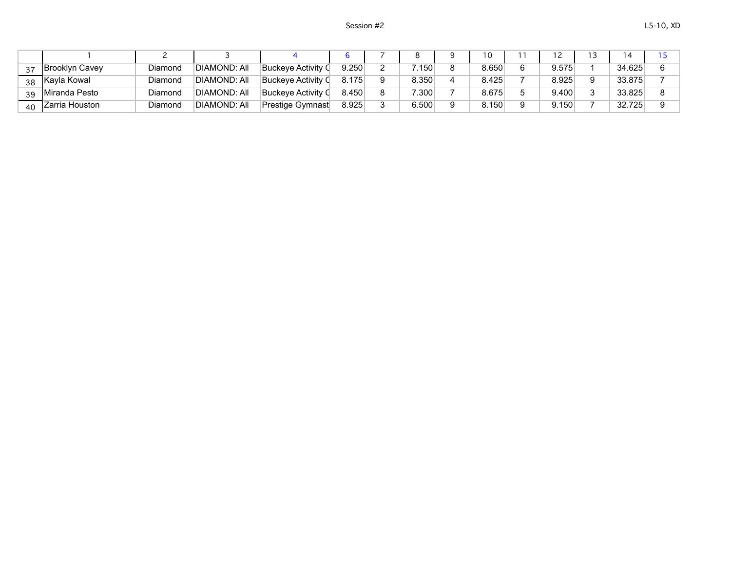|    | Brooklyn Cavey | Diamond | DIAMOND: All        | Buckeve Activitv (  | 9.250 | .150  | 8.650 | 9.575 | 34.625 |  |
|----|----------------|---------|---------------------|---------------------|-------|-------|-------|-------|--------|--|
| 38 | Kayla Kowal    | Diamond | <b>DIAMOND: All</b> | ∣Buckeve Activitv O | 8.175 | 8.350 | 8.425 | 8.925 | 33.875 |  |
| 3d | Miranda Pesto  | Diamond | <b>DIAMOND: All</b> | Buckeve Activity C  | 8.450 | 7.300 | 8.675 | 9.400 | 33.825 |  |
| 40 | Zarria Houston | Diamond | <b>DIAMOND: All</b> | Prestige Gymnast    | 8.925 | 6.500 | 8.150 | 9.150 | 32.725 |  |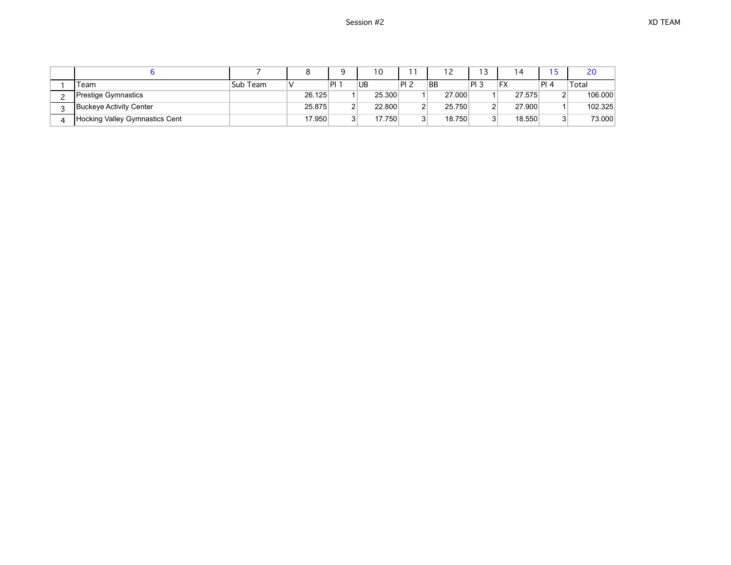|                                |          |        |                | ۱0     |    |           | 13              |           |      | 20      |
|--------------------------------|----------|--------|----------------|--------|----|-----------|-----------------|-----------|------|---------|
| Team                           | Sub Team |        |                | UB     | PI | <b>BB</b> | PI <sub>3</sub> | <b>FX</b> | Pl 4 | Total   |
| Prestige Gymnastics            |          | 26.125 |                | 25.300 |    | 27,000    |                 | 27.575    | n.   | 106.000 |
| Buckeye Activity Center        |          | 25.875 | ົ              | 22.800 |    | 25.750    |                 | 27.900    |      | 102.325 |
| Hocking Valley Gymnastics Cent |          | 17.950 | 3 <sup>1</sup> | 17.750 | ົ  | 18.750    |                 | 18.550    | ঽ    | 73.000  |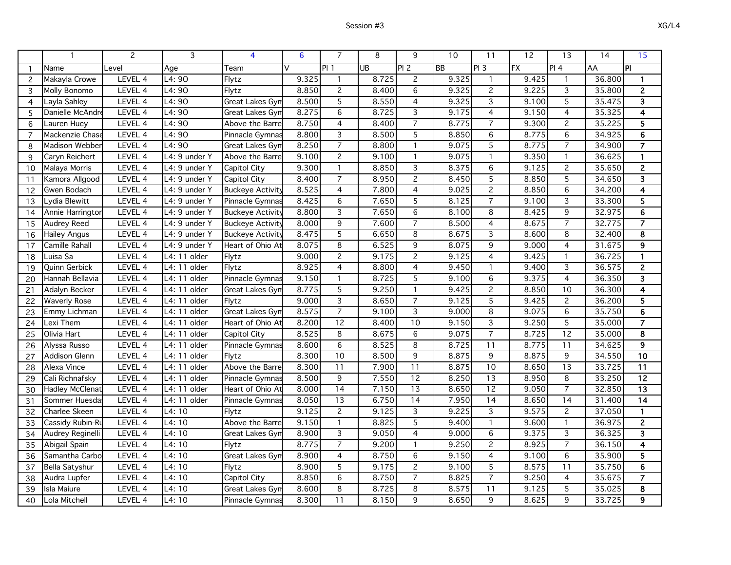|                |                        | $\overline{c}$ | 3               | $\overline{4}$          | 6      | $\overline{7}$  | 8         | 9               | 10        | 11             | $\overline{12}$ | 13              | 14     | 15                      |
|----------------|------------------------|----------------|-----------------|-------------------------|--------|-----------------|-----------|-----------------|-----------|----------------|-----------------|-----------------|--------|-------------------------|
| -1             | Name                   | Level          | Age             | Team                    | $\vee$ | PI1             | <b>UB</b> | PI2             | <b>BB</b> | PI3            | FX              | PI 4            | AA     | ΙPΙ                     |
| $\overline{c}$ | Makayla Crowe          | LEVEL 4        | L4:90           | Flytz                   | 9.325  |                 | 8.725     | $\overline{2}$  | 9.325     | $\mathbf{1}$   | 9.425           |                 | 36.800 | 1                       |
| 3              | Molly Bonomo           | LEVEL 4        | L4:90           | Flytz                   | 8.850  | $\overline{c}$  | 8.400     | 6               | 9.325     | $\overline{c}$ | 9.225           | 3               | 35.800 | $\mathbf{2}$            |
| $\overline{4}$ | Layla Sahley           | LEVEL 4        | L4:90           | Great Lakes Gyn         | 8.500  | 5               | 8.550     | $\overline{4}$  | 9.325     | 3              | 9.100           | 5               | 35.475 | 3                       |
| 5              | Danielle McAndre       | LEVEL 4        | L4:90           | Great Lakes Gyn         | 8.275  | 6               | 8.725     | 3               | 9.175     | $\overline{4}$ | 9.150           | $\overline{4}$  | 35.325 | 4                       |
| 6              | Lauren Huey            | LEVEL 4        | L4: 90          | Above the Barre         | 8.750  | $\overline{4}$  | 8.400     | $\overline{7}$  | 8.775     | $\overline{7}$ | 9.300           | $\overline{c}$  | 35.225 | 5                       |
| $\overline{7}$ | Mackenzie Chase        | LEVEL 4        | L4:90           | Pinnacle Gymnas         | 8.800  | 3               | 8.500     | $\overline{5}$  | 8.850     | 6              | 8.775           | 6               | 34.925 | $6\phantom{1}6$         |
| 8              | Madison Webber         | LEVEL 4        | L4: 90          | Great Lakes Gyn         | 8.250  | $\overline{7}$  | 8.800     | $\overline{1}$  | 9.075     | 5              | 8.775           | $\overline{7}$  | 34.900 | $\overline{7}$          |
| 9              | Caryn Reichert         | LEVEL 4        | L4: 9 under Y   | Above the Barre         | 9.100  | $\overline{c}$  | 9.100     | $\mathbf{1}$    | 9.075     | $\mathbf{1}$   | 9.350           | $\mathbf{1}$    | 36.625 | $\mathbf{1}$            |
| 10             | Malaya Morris          | LEVEL 4        | L4: 9 under Y   | Capitol City            | 9.300  | $\mathbf{1}$    | 8.850     | 3               | 8.375     | 6              | 9.125           | $\mathbf{2}$    | 35.650 | $\mathbf{2}$            |
| 11             | Kamora Allgood         | LEVEL 4        | L4: 9 under Y   | Capitol City            | 8.400  | $\overline{7}$  | 8.950     | $\overline{2}$  | 8.450     | 5              | 8.850           | 5               | 34.650 | 3                       |
| 12             | Gwen Bodach            | LEVEL 4        | L4: 9 under Y   | <b>Buckeye Activity</b> | 8.525  | $\overline{4}$  | 7.800     | $\overline{4}$  | 9.025     | $\overline{2}$ | 8.850           | $\overline{6}$  | 34.200 | $\overline{4}$          |
| 13             | Lydia Blewitt          | LEVEL 4        | L4: 9 under Y   | Pinnacle Gymnas         | 8.425  | 6               | 7.650     | $\overline{5}$  | 8.125     | $\overline{7}$ | 9.100           | 3               | 33.300 | $\overline{5}$          |
| 14             | Annie Harringtor       | LEVEL 4        | L4: 9 under Y   | <b>Buckeye Activity</b> | 8.800  | 3               | 7.650     | 6               | 8.100     | 8              | 8.425           | 9               | 32.975 | 6                       |
| 15             | Audrey Reed            | LEVEL 4        | L4: 9 under Y   | <b>Buckeye Activity</b> | 8.000  | 9               | 7.600     | $\overline{7}$  | 8.500     | $\overline{4}$ | 8.675           | $\overline{7}$  | 32.775 | $\overline{7}$          |
| 16             | Hailey Angus           | LEVEL 4        | L4: 9 under Y   | <b>Buckeye Activity</b> | 8.475  | 5               | 6.650     | 8               | 8.675     | 3              | 8.600           | 8               | 32.400 | 8                       |
| 17             | Camille Rahall         | LEVEL 4        | L4: 9 under Y   | Heart of Ohio At        | 8.075  | 8               | 6.525     | 9               | 8.075     | 9              | 9.000           | 4               | 31.675 | 9                       |
| 18             | Luisa Sa               | LEVEL 4        | L4: 11 older    | Flytz                   | 9.000  | $\overline{c}$  | 9.175     | $\overline{2}$  | 9.125     | 4              | 9.425           | $\mathbf{1}$    | 36.725 | $\mathbf{1}$            |
| 19             | Quinn Gerbick          | LEVEL 4        | L4: 11 older    | Flytz                   | 8.925  | 4               | 8.800     | 4               | 9.450     | $\mathbf{1}$   | 9.400           | 3               | 36.575 | $\overline{2}$          |
| 20             | Hannah Bellavia        | LEVEL 4        | L4: 11 older    | Pinnacle Gymnas         | 9.150  | $\mathbf{1}$    | 8.725     | $\overline{5}$  | 9.100     | 6              | 9.375           | $\overline{4}$  | 36.350 | 3                       |
| 21             | Adalyn Becker          | LEVEL 4        | L4: 11 older    | Great Lakes Gyn         | 8.775  | 5               | 9.250     | $\mathbf{1}$    | 9.425     | $\overline{c}$ | 8.850           | 10              | 36.300 | $\overline{\mathbf{4}}$ |
| 22             | <b>Waverly Rose</b>    | LEVEL 4        | L4: 11 older    | Flytz                   | 9.000  | $\overline{3}$  | 8.650     | $\overline{7}$  | 9.125     | 5              | 9.425           | $\overline{2}$  | 36.200 | $\overline{5}$          |
| 23             | Emmy Lichman           | LEVEL 4        | L4: 11 older    | Great Lakes Gyn         | 8.575  | $\overline{7}$  | 9.100     | $\overline{3}$  | 9.000     | 8              | 9.075           | 6               | 35.750 | 6                       |
| 24             | Lexi Them              | LEVEL 4        | $L4:11$ older   | Heart of Ohio At        | 8.200  | 12              | 8.400     | $\overline{10}$ | 9.150     | 3              | 9.250           | 5               | 35.000 | $\overline{\mathbf{z}}$ |
| 25             | Olivia Hart            | LEVEL 4        | $L4$ : 11 older | Capitol City            | 8.525  | 8               | 8.675     | 6               | 9.075     | $\overline{7}$ | 8.725           | $\overline{12}$ | 35.000 | 8                       |
| 26             | Alyssa Russo           | LEVEL 4        | L4: 11 older    | Pinnacle Gymnas         | 8.600  | 6               | 8.525     | 8               | 8.725     | 11             | 8.775           | 11              | 34.625 | $\overline{9}$          |
| 27             | <b>Addison Glenn</b>   | LEVEL 4        | L4: 11 older    | Flytz                   | 8.300  | $\overline{10}$ | 8.500     | 9               | 8.875     | 9              | 8.875           | 9               | 34.550 | $\overline{10}$         |
| 28             | Alexa Vince            | LEVEL 4        | L4: 11 older    | Above the Barre         | 8.300  | 11              | 7.900     | 11              | 8.875     | 10             | 8.650           | $\overline{13}$ | 33.725 | $\overline{11}$         |
| 29             | Cali Richnafsky        | LEVEL 4        | $L4: 11$ older  | Pinnacle Gymnas         | 8.500  | 9               | 7.550     | $\overline{12}$ | 8.250     | 13             | 8.950           | 8               | 33.250 | 12                      |
| 30             | <b>Hadley McClenat</b> | LEVEL 4        | L4: 11 older    | Heart of Ohio At        | 8.000  | $\overline{14}$ | 7.150     | $\overline{13}$ | 8.650     | 12             | 9.050           | $\overline{7}$  | 32.850 | $\overline{13}$         |
| 31             | Sommer Huesda          | LEVEL 4        | L4: 11 older    | Pinnacle Gymnas         | 8.050  | $\overline{13}$ | 6.750     | $\overline{14}$ | 7.950     | 14             | 8.650           | 14              | 31.400 | $\overline{14}$         |
| 32             | Charlee Skeen          | LEVEL 4        | L4:10           | Flytz                   | 9.125  | $\overline{2}$  | 9.125     | $\overline{3}$  | 9.225     | 3              | 9.575           | $\overline{2}$  | 37.050 | $\mathbf{1}$            |
| 33             | Cassidy Rubin-Rı       | LEVEL 4        | L4:10           | Above the Barre         | 9.150  | $\mathbf{1}$    | 8.825     | 5               | 9.400     | $\mathbf{1}$   | 9.600           | $\mathbf{1}$    | 36.975 | $\overline{2}$          |
| 34             | Audrey Reginelli       | LEVEL 4        | L4:10           | Great Lakes Gyn         | 8.900  | 3               | 9.050     | 4               | 9.000     | 6              | 9.375           | 3               | 36.325 | $\mathbf{3}$            |
| 35             | Abigail Spain          | LEVEL 4        | L4:10           | Flytz                   | 8.775  | $\overline{7}$  | 9.200     | $\mathbf{1}$    | 9.250     | $\overline{c}$ | 8.925           | $\overline{7}$  | 36.150 | $\overline{4}$          |
| 36             | Samantha Carbo         | LEVEL 4        | L4:10           | Great Lakes Gyn         | 8.900  | $\overline{4}$  | 8.750     | $\overline{6}$  | 9.150     | $\overline{4}$ | 9.100           | $\overline{6}$  | 35.900 | $\overline{5}$          |
| 37             | <b>Bella Satyshur</b>  | LEVEL 4        | L4:10           | Flytz                   | 8.900  | 5               | 9.175     | $\overline{2}$  | 9.100     | 5              | 8.575           | 11              | 35.750 | 6                       |
| 38             | Audra Lupfer           | LEVEL 4        | L4:10           | Capitol City            | 8.850  | 6               | 8.750     | $\overline{7}$  | 8.825     | $\overline{7}$ | 9.250           | $\overline{4}$  | 35.675 | $\overline{\mathbf{z}}$ |
| 39             | Isla Maiure            | LEVEL 4        | L4:10           | Great Lakes Gyn         | 8.600  | 8               | 8.725     | 8               | 8.575     | 11             | 9.125           | 5               | 35.025 | 8                       |
| 40             | Lola Mitchell          | LEVEL 4        | L4: 10          | Pinnacle Gymnas         | 8.300  | 11              | 8.150     | 9               | 8.650     | 9              | 8.625           | 9               | 33.725 | 9                       |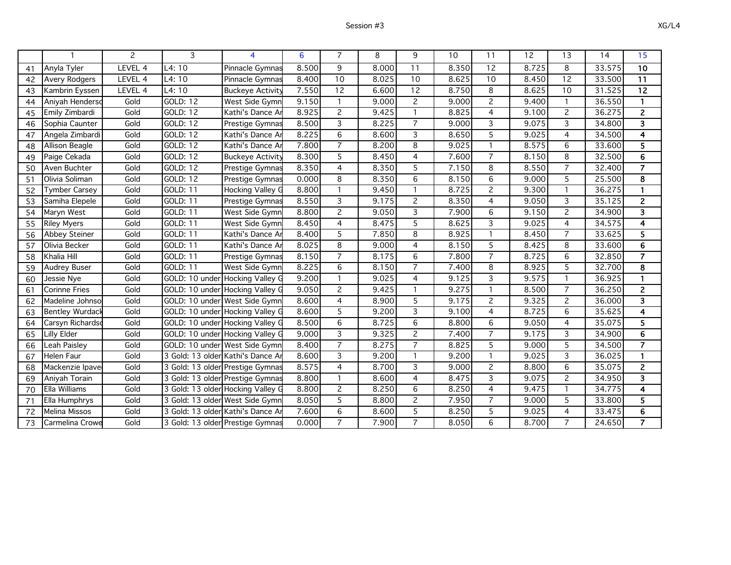|                        | 2                 | 3                                 | 4                                 | 6     | 7               | 8     | 9              | 10    | 11             | 12    | 13             | 14     | 15                      |
|------------------------|-------------------|-----------------------------------|-----------------------------------|-------|-----------------|-------|----------------|-------|----------------|-------|----------------|--------|-------------------------|
| Anyla Tyler            | LEVEL 4           | L4:10                             | Pinnacle Gymnas                   | 8.500 | 9               | 8.000 | 11             | 8.350 | 12             | 8.725 | 8              | 33.575 | $\overline{10}$         |
| Avery Rodgers          | LEVEL 4           | L4:10                             | Pinnacle Gymnas                   | 8.400 | 10              | 8.025 | 10             | 8.625 | 10             | 8.450 | 12             | 33.500 | 11                      |
| Kambrin Eyssen         | LEVEL 4           | L4:10                             | <b>Buckeye Activity</b>           | 7.550 | $\overline{12}$ | 6.600 | 12             | 8.750 | 8              | 8.625 | 10             | 31.525 | $\overline{12}$         |
| Aniyah Henderso        | Gold              | <b>GOLD: 12</b>                   | West Side Gymn                    | 9.150 |                 | 9.000 | $\overline{c}$ | 9.000 | $\overline{2}$ | 9.400 | 1              | 36.550 | 1                       |
| Emily Zimbardi         | $Gol\overline{d}$ | <b>GOLD: 12</b>                   | Kathi's Dance Ar                  | 8.925 | $\mathbf{2}$    | 9.425 | $\mathbf{1}$   | 8.825 | $\overline{4}$ | 9.100 | $\overline{c}$ | 36.275 | $\overline{c}$          |
| Sophia Caunter         | Gold              | GOLD: 12                          | Prestige Gymnas                   | 8.500 | 3               | 8.225 | $\overline{7}$ | 9.000 | $\overline{3}$ | 9.075 | 3              | 34.800 | $\overline{\mathbf{3}}$ |
| Angela Zimbardi        | Gold              | GOLD: 12                          | Kathi's Dance Ar                  | 8.225 | 6               | 8.600 | 3              | 8.650 | 5              | 9.025 | 4              | 34.500 | 4                       |
| Allison Beagle         | Gold              | GOLD: 12                          | Kathi's Dance Ar                  | 7.800 | $\overline{7}$  | 8.200 | 8              | 9.025 | $\mathbf{1}$   | 8.575 | 6              | 33.600 | 5                       |
| Paige Cekada           | Gold              | GOLD: 12                          | <b>Buckeye Activity</b>           | 8.300 | 5               | 8.450 | 4              | 7.600 | $\overline{7}$ | 8.150 | 8              | 32.500 | 6                       |
| Aven Buchter           | Gold              | <b>GOLD: 12</b>                   | <b>Prestige Gymnas</b>            | 8.350 | 4               | 8.350 | 5              | 7.150 | 8              | 8.550 | $\overline{7}$ | 32.400 | $\overline{7}$          |
| Olivia Soliman         | Gold              | <b>GOLD: 12</b>                   | Prestige Gymnas                   | 0.000 | 8               | 8.350 | 6              | 8.150 | 6              | 9.000 | 5              | 25.500 | 8                       |
| <b>Tymber Carsey</b>   | Gold              | GOLD: 11                          | Hocking Valley G                  | 8.800 |                 | 9.450 | $\mathbf{1}$   | 8.725 | $\overline{2}$ | 9.300 | 1              | 36.275 | -1                      |
| Samiha Elepele         | Gold              | GOLD: 11                          | <b>Prestige Gymnas</b>            | 8.550 | 3               | 9.175 | $\overline{c}$ | 8.350 | 4              | 9.050 | 3              | 35.125 | $\overline{2}$          |
| Maryn West             | Gold              | GOLD: 11                          | West Side Gymn                    | 8.800 | $\overline{2}$  | 9.050 | 3              | 7.900 | 6              | 9.150 | $\overline{c}$ | 34.900 | 3                       |
| <b>Riley Myers</b>     | Gold              | GOLD: 11                          | West Side Gymn                    | 8.450 | 4               | 8.475 | 5              | 8.625 | 3              | 9.025 | 4              | 34.575 | 4                       |
| Abbey Steiner          | Gold              | GOLD: 11                          | Kathi's Dance Ar                  | 8.400 | 5               | 7.850 | 8              | 8.925 | $\mathbf{1}$   | 8.450 | $\overline{7}$ | 33.625 | 5                       |
| Olivia Becker          | Gold              | GOLD: 11                          | Kathi's Dance Ar                  | 8.025 | $\overline{8}$  | 9.000 | 4              | 8.150 | $\overline{5}$ | 8.425 | 8              | 33.600 | $\overline{6}$          |
| Khalia Hill            | Gold              | <b>GOLD: 11</b>                   | Prestige Gymnas                   | 8.150 | $\overline{7}$  | 8.175 | 6              | 7.800 | $\overline{7}$ | 8.725 | $\overline{6}$ | 32.850 | $\overline{\mathbf{z}}$ |
| <b>Audrey Buser</b>    | $Gol\overline{d}$ | GOLD: 11                          | West Side Gymn                    | 8.225 | 6               | 8.150 | $\overline{7}$ | 7.400 | 8              | 8.925 | 5              | 32.700 | 8                       |
| Jessie Nye             | Gold              | GOLD: 10 under                    | Hocking Valley G                  | 9.200 |                 | 9.025 | 4              | 9.125 | 3              | 9.575 | 1              | 36.925 | $\mathbf{1}$            |
| <b>Corinne Fries</b>   | Gold              |                                   | GOLD: 10 under Hocking Valley G   | 9.050 | $\mathbf{2}$    | 9.425 | $\mathbf{1}$   | 9.275 | $\mathbf{1}$   | 8.500 | $\overline{7}$ | 36.250 | $\overline{c}$          |
| Madeline Johnso        | Gold              | GOLD: 10 under West Side Gymn     |                                   | 8.600 | 4               | 8.900 | 5              | 9.175 | 2              | 9.325 | $\overline{c}$ | 36.000 | 3                       |
| <b>Bentley Wurdack</b> | Gold              | GOLD: 10 under Hocking Valley G   |                                   | 8.600 | $\overline{5}$  | 9.200 | 3              | 9.100 | 4              | 8.725 | 6              | 35.625 | $\overline{\mathbf{4}}$ |
| Carsyn Richards        | Gold              |                                   | GOLD: 10 under Hocking Valley G   | 8.500 | $\overline{6}$  | 8.725 | 6              | 8.800 | 6              | 9.050 | 4              | 35.075 | $\overline{\mathbf{5}}$ |
| Lilly Elder            | Gold              |                                   | GOLD: 10 under Hocking Valley C   | 9.000 | 3               | 9.325 | $\overline{c}$ | 7.400 | $\overline{7}$ | 9.175 | 3              | 34.900 | 6                       |
| Leah Paisley           | Gold              | GOLD: 10 under West Side Gymn     |                                   | 8.400 | $\overline{7}$  | 8.275 | $\overline{7}$ | 8.825 | 5              | 9.000 | 5              | 34.500 | $\overline{7}$          |
| Helen Faur             | Gold              | 3 Gold: 13 older Kathi's Dance Ar |                                   | 8.600 | 3               | 9.200 | 1              | 9.200 | $\mathbf{1}$   | 9.025 | 3              | 36.025 | $\mathbf{1}$            |
| Mackenzie Ipave        | Gold              |                                   | 3 Gold: 13 older Prestige Gymnas  | 8.575 | 4               | 8.700 | 3              | 9.000 | $\overline{2}$ | 8.800 | 6              | 35.075 | $\overline{c}$          |
| Aniyah Torain          | Gold              |                                   | 3 Gold: 13 older Prestige Gymnas  | 8.800 | $\mathbf{1}$    | 8.600 | 4              | 8.475 | 3              | 9.075 | $\overline{c}$ | 34.950 | 3                       |
| Ella Williams          | Gold              |                                   | 3 Gold: 13 older Hocking Valley G | 8.800 | $\overline{2}$  | 8.250 | 6              | 8.250 | 4              | 9.475 | $\mathbf{1}$   | 34.775 | 4                       |
| Ella Humphrys          | Gold              |                                   | 3 Gold: 13 older West Side Gymn   | 8.050 | 5               | 8.800 | $\overline{c}$ | 7.950 | $\overline{7}$ | 9.000 | 5              | 33.800 | 5                       |
| <b>Melina Missos</b>   | Gold              | 3 Gold: 13 older Kathi's Dance Aı |                                   | 7.600 | 6               | 8.600 | 5              | 8.250 | $\overline{5}$ | 9.025 | 4              | 33.475 | 6                       |
| Carmelina Crowe        | Gold              |                                   | 3 Gold: 13 older Prestige Gymnas  | 0.000 | $\overline{7}$  | 7.900 | $\overline{7}$ | 8.050 | 6              | 8.700 | 7              | 24.650 | $\overline{7}$          |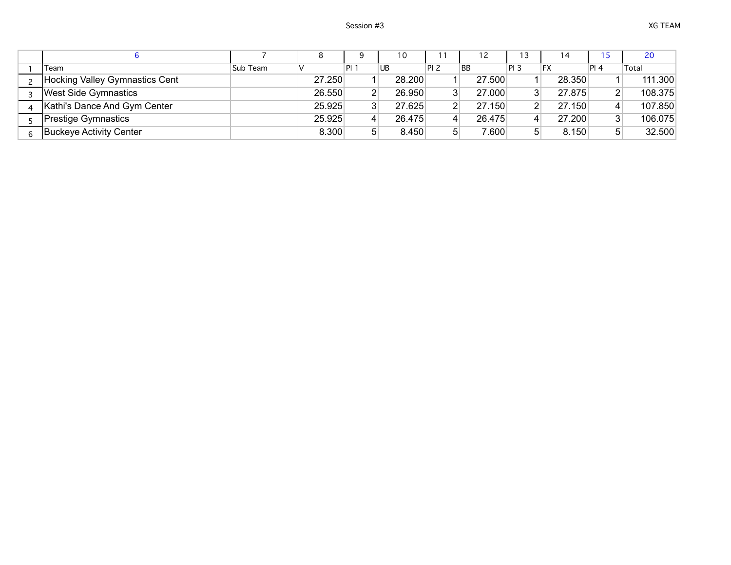|                                |          |        |                |    | 10     |      | 12        | 13              | $\overline{4}$ |              | 20      |
|--------------------------------|----------|--------|----------------|----|--------|------|-----------|-----------------|----------------|--------------|---------|
| Team                           | Sub Team |        | Pl             | UB |        | PI 2 | <b>BB</b> | PI <sub>3</sub> | FX             | PI 4         | Total   |
| Hocking Valley Gymnastics Cent |          | 27.250 |                |    | 28,200 |      | 27.500    |                 | 28.350         |              | 111.300 |
| <b>West Side Gymnastics</b>    |          | 26.550 | $\overline{2}$ |    | 26.950 |      | 27.000    |                 | 27.875         | 21           | 108.375 |
| Kathi's Dance And Gym Center   |          | 25.925 | $\mathbf{3}$   |    | 27.625 |      | 27.150    |                 | 27.150         | $\mathbf{4}$ | 107.850 |
| <b>Prestige Gymnastics</b>     |          | 25.925 |                |    | 26.475 |      | 26.475    |                 | 27.200         | 31           | 106.075 |
| <b>Buckeye Activity Center</b> |          | 8.300  | 5              |    | 8.450  | 5    | 7.600     |                 | 8.150          | 5            | 32.500  |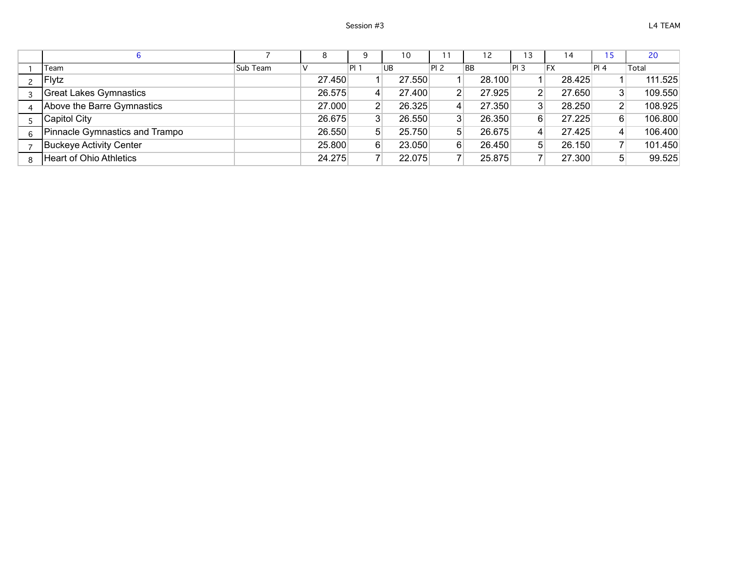|                                |          | 8      | Q               | 10     |      | 12        | 13              | 14     |                | 20      |
|--------------------------------|----------|--------|-----------------|--------|------|-----------|-----------------|--------|----------------|---------|
| Team                           | Sub Team |        | IPI 1           | UB     | PI 2 | <b>BB</b> | PI <sub>3</sub> | FX     | $\vert$ Pl 4   | Total   |
| Flytz                          |          | 27.450 |                 | 27.550 |      | 28.100    |                 | 28.425 |                | 111.525 |
| <b>Great Lakes Gymnastics</b>  |          | 26.575 | $\vert 4 \vert$ | 27,400 | ົ    | 27.925    | $\overline{2}$  | 27.650 | 3              | 109.550 |
| Above the Barre Gymnastics     |          | 27.000 | $\mathbf{2}$    | 26.325 | д    | 27.350    | 3               | 28.250 | $\mathsf{2}$   | 108.925 |
| Capitol City                   |          | 26.675 | 3 <sup>1</sup>  | 26.550 | າ    | 26.350    | 6               | 27.225 | 6              | 106.800 |
| Pinnacle Gymnastics and Trampo |          | 26.550 | 5 <sup>1</sup>  | 25.750 | 51   | 26.675    | 4               | 27.425 | 4              | 106.400 |
| Buckeye Activity Center        |          | 25.800 | 6               | 23.050 | 6    | 26.450    | 51              | 26.150 | $\overline{ }$ | 101.450 |
| <b>Heart of Ohio Athletics</b> |          | 24.275 | 7               | 22.075 |      | 25.875    |                 | 27.300 | 5              | 99.525  |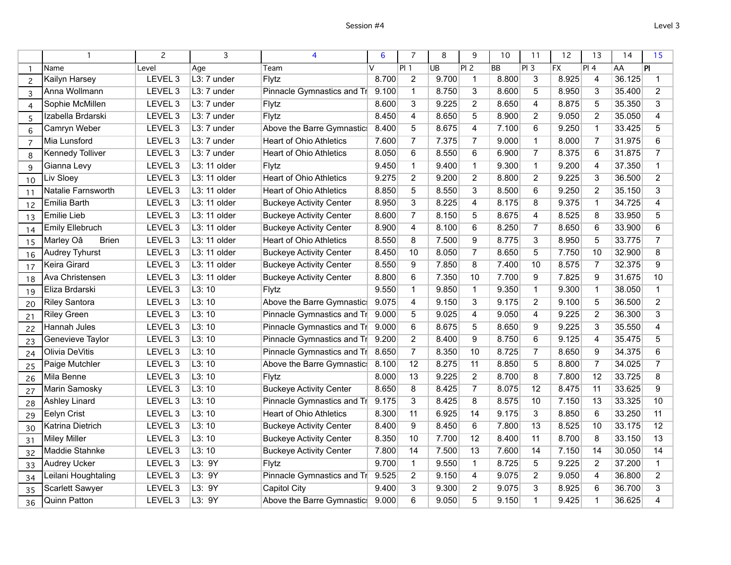|                |                           | 2                  | 3            | 4                              | 6     | $\overline{7}$  | 8     | 9               | 10    | 11               | 12              | 13                 | 14     | 15             |
|----------------|---------------------------|--------------------|--------------|--------------------------------|-------|-----------------|-------|-----------------|-------|------------------|-----------------|--------------------|--------|----------------|
| $\mathbf{1}$   | Name                      | Level              | Age          | Team                           | v     | PI <sub>1</sub> | UB    | PIZ             | BB    | $\overline{PI3}$ | $\overline{FX}$ | PI 4               | AA     | PI             |
| $\overline{c}$ | Kailyn Harsey             | LEVEL <sub>3</sub> | L3: 7 under  | Flytz                          | 8.700 | $\overline{2}$  | 9.700 | 1               | 8.800 | 3                | 8.925           | 4                  | 36.125 | 1              |
| 3              | Anna Wollmann             | LEVEL <sub>3</sub> | L3: 7 under  | Pinnacle Gymnastics and Tr     | 9.100 | $\mathbf{1}$    | 8.750 | 3               | 8.600 | 5                | 8.950           | 3                  | 35.400 | $\overline{2}$ |
| $\overline{4}$ | Sophie McMillen           | LEVEL 3            | L3: 7 under  | Flytz                          | 8.600 | 3               | 9.225 | $\overline{2}$  | 8.650 | 4                | 8.875           | $\overline{5}$     | 35.350 | 3              |
| 5              | Izabella Brdarski         | LEVEL <sub>3</sub> | L3: 7 under  | Flytz                          | 8.450 | $\overline{4}$  | 8.650 | $\overline{5}$  | 8.900 | $\overline{2}$   | 9.050           | $\overline{2}$     | 35.050 | 4              |
| 6              | Camryn Weber              | LEVEL <sub>3</sub> | L3: 7 under  | Above the Barre Gymnastic      | 8.400 | 5               | 8.675 | 4               | 7.100 | 6                | 9.250           | $\mathbf{1}$       | 33.425 | 5              |
| $\overline{7}$ | Mia Lunsford              | LEVEL 3            | L3: 7 under  | <b>Heart of Ohio Athletics</b> | 7.600 | $\overline{7}$  | 7.375 | $\overline{7}$  | 9.000 | $\mathbf{1}$     | 8.000           | $\overline{7}$     | 31.975 | 6              |
| 8              | <b>Kennedy Tolliver</b>   | LEVEL <sub>3</sub> | L3: 7 under  | <b>Heart of Ohio Athletics</b> | 8.050 | 6               | 8.550 | 6               | 6.900 | $\overline{7}$   | 8.375           | 6                  | 31.875 | $\overline{7}$ |
| 9              | Gianna Levy               | LEVEL 3            | L3: 11 older | Flytz                          | 9.450 | $\mathbf{1}$    | 9.400 | $\mathbf{1}$    | 9.300 | $\mathbf{1}$     | 9.200           | 4                  | 37.350 | $\mathbf{1}$   |
| 10             | Liv Sloey                 | LEVEL 3            | L3: 11 older | <b>Heart of Ohio Athletics</b> | 9.275 | $\overline{2}$  | 9.200 | $\overline{2}$  | 8.800 | $\overline{2}$   | 9.225           | $\overline{3}$     | 36.500 | $\overline{2}$ |
| 11             | Natalie Farnsworth        | LEVEL 3            | L3: 11 older | <b>Heart of Ohio Athletics</b> | 8.850 | 5               | 8.550 | $\overline{3}$  | 8.500 | 6                | 9.250           | $\overline{2}$     | 35.150 | 3              |
| 12             | Emilia Barth              | LEVEL 3            | L3: 11 older | <b>Buckeye Activity Center</b> | 8.950 | 3               | 8.225 | 4               | 8.175 | 8                | 9.375           | $\mathbf{1}$       | 34.725 | 4              |
| 13             | <b>Emilie Lieb</b>        | LEVEL 3            | L3: 11 older | <b>Buckeye Activity Center</b> | 8.600 | $\overline{7}$  | 8.150 | 5               | 8.675 | 4                | 8.525           | $\overline{\bf 8}$ | 33.950 | 5              |
| 14             | <b>Emily Ellebruch</b>    | LEVEL 3            | L3: 11 older | <b>Buckeye Activity Center</b> | 8.900 | 4               | 8.100 | 6               | 8.250 | $\overline{7}$   | 8.650           | 6                  | 33.900 | 6              |
| 15             | Marley Oâ<br><b>Brien</b> | LEVEL <sub>3</sub> | L3: 11 older | <b>Heart of Ohio Athletics</b> | 8.550 | 8               | 7.500 | 9               | 8.775 | 3                | 8.950           | $\overline{5}$     | 33.775 | $\overline{7}$ |
| 16             | <b>Audrey Tyhurst</b>     | LEVEL 3            | L3: 11 older | <b>Buckeye Activity Center</b> | 8.450 | 10              | 8.050 | $\overline{7}$  | 8.650 | $\overline{5}$   | 7.750           | 10                 | 32.900 | 8              |
| 17             | Keira Girard              | LEVEL <sub>3</sub> | L3: 11 older | <b>Buckeye Activity Center</b> | 8.550 | 9               | 7.850 | 8               | 7.400 | 10               | 8.575           | $\overline{7}$     | 32.375 | 9              |
| 18             | Ava Christensen           | LEVEL 3            | L3: 11 older | <b>Buckeye Activity Center</b> | 8.800 | 6               | 7.350 | 10              | 7.700 | 9                | 7.825           | $\overline{9}$     | 31.675 | 10             |
| 19             | Eliza Brdarski            | LEVEL <sub>3</sub> | L3:10        | Flytz                          | 9.550 | $\mathbf{1}$    | 9.850 | $\mathbf{1}$    | 9.350 | $\mathbf{1}$     | 9.300           | $\overline{1}$     | 38.050 | $\mathbf{1}$   |
| 20             | <b>Riley Santora</b>      | LEVEL 3            | L3:10        | Above the Barre Gymnastic      | 9.075 | 4               | 9.150 | $\overline{3}$  | 9.175 | $\overline{2}$   | 9.100           | 5                  | 36.500 | $\overline{2}$ |
| 21             | <b>Riley Green</b>        | LEVEL <sub>3</sub> | L3:10        | Pinnacle Gymnastics and Tr     | 9.000 | 5               | 9.025 | 4               | 9.050 | 4                | 9.225           | $\overline{2}$     | 36.300 | 3              |
| 22             | Hannah Jules              | LEVEL 3            | L3:10        | Pinnacle Gymnastics and Tr     | 9.000 | 6               | 8.675 | 5               | 8.650 | 9                | 9.225           | $\overline{3}$     | 35.550 | 4              |
| 23             | Genevieve Taylor          | LEVEL <sub>3</sub> | L3:10        | Pinnacle Gymnastics and Tr     | 9.200 | $\overline{2}$  | 8.400 | $\overline{9}$  | 8.750 | 6                | 9.125           | $\overline{4}$     | 35.475 | 5              |
| 24             | Olivia DeVitis            | LEVEL 3            | L3:10        | Pinnacle Gymnastics and Tr     | 8.650 | $\overline{7}$  | 8.350 | 10              | 8.725 | $\overline{7}$   | 8.650           | $\overline{9}$     | 34.375 | 6              |
| 25             | Paige Mutchler            | LEVEL <sub>3</sub> | L3:10        | Above the Barre Gymnastic      | 8.100 | 12              | 8.275 | 11              | 8.850 | $\overline{5}$   | 8.800           | $\overline{7}$     | 34.025 | $\overline{7}$ |
| 26             | Mila Benne                | LEVEL <sub>3</sub> | L3:10        | Flytz                          | 8.000 | 13              | 9.225 | $\overline{2}$  | 8.700 | 8                | 7.800           | 12                 | 33.725 | 8              |
| 27             | Marin Samosky             | LEVEL 3            | L3:10        | <b>Buckeye Activity Center</b> | 8.650 | 8               | 8.425 | $\overline{7}$  | 8.075 | 12               | 8.475           | 11                 | 33.625 | $\overline{9}$ |
| 28             | <b>Ashley Linard</b>      | LEVEL <sub>3</sub> | L3:10        | Pinnacle Gymnastics and Tr     | 9.175 | 3               | 8.425 | 8               | 8.575 | 10               | 7.150           | 13                 | 33.325 | 10             |
| 29             | <b>Eelyn Crist</b>        | LEVEL 3            | L3:10        | <b>Heart of Ohio Athletics</b> | 8.300 | 11              | 6.925 | 14              | 9.175 | $\overline{3}$   | 8.850           | 6                  | 33.250 | 11             |
| 30             | Katrina Dietrich          | LEVEL <sub>3</sub> | L3:10        | <b>Buckeye Activity Center</b> | 8.400 | 9               | 8.450 | $6\overline{6}$ | 7.800 | 13               | 8.525           | 10                 | 33.175 | 12             |
| 31             | <b>Miley Miller</b>       | LEVEL 3            | L3:10        | <b>Buckeye Activity Center</b> | 8.350 | 10              | 7.700 | 12              | 8.400 | 11               | 8.700           | 8                  | 33.150 | 13             |
| 32             | <b>Maddie Stahnke</b>     | LEVEL <sub>3</sub> | L3:10        | <b>Buckeye Activity Center</b> | 7.800 | 14              | 7.500 | 13              | 7.600 | 14               | 7.150           | 14                 | 30.050 | 14             |
| 33             | <b>Audrey Ucker</b>       | LEVEL 3            | L3: 9Y       | Flytz                          | 9.700 | $\mathbf{1}$    | 9.550 | $\mathbf{1}$    | 8.725 | 5                | 9.225           | $\overline{2}$     | 37.200 | $\mathbf{1}$   |
| 34             | Leilani Houghtaling       | LEVEL 3            | L3: 9Y       | Pinnacle Gymnastics and Tr     | 9.525 | $\overline{2}$  | 9.150 | 4               | 9.075 | $\overline{2}$   | 9.050           | $\overline{4}$     | 36.800 | $\overline{2}$ |
| 35             | <b>Scarlett Sawyer</b>    | LEVEL 3            | L3: 9Y       | Capitol City                   | 9.400 | 3               | 9.300 | $\overline{2}$  | 9.075 | 3                | 8.925           | 6                  | 36.700 | 3              |
| 36             | <b>Quinn Patton</b>       | LEVEL 3            | L3: 9Y       | Above the Barre Gymnastic      | 9.000 | 6               | 9.050 | $\overline{5}$  | 9.150 | $\overline{1}$   | 9.425           | $\overline{1}$     | 36.625 | 4              |
|                |                           |                    |              |                                |       |                 |       |                 |       |                  |                 |                    |        |                |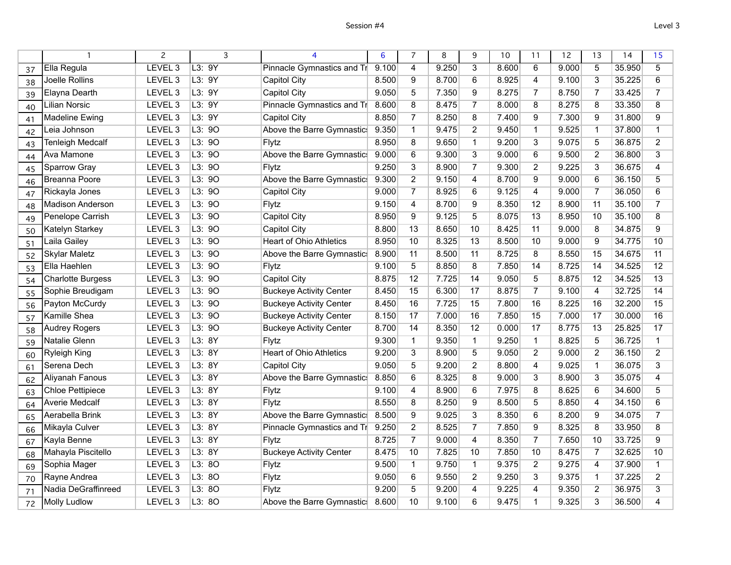|    |                          |                    | 3      |                                | 6     | 7              | 8     | 9              | 10    | 11              | 12    | 13             | 14     | 15             |
|----|--------------------------|--------------------|--------|--------------------------------|-------|----------------|-------|----------------|-------|-----------------|-------|----------------|--------|----------------|
| 37 | Ella Regula              | LEVEL <sub>3</sub> | L3:9Y  | Pinnacle Gymnastics and Tr     | 9.100 | $\overline{4}$ | 9.250 | $\overline{3}$ | 8.600 | 6               | 9.000 | 5              | 35.950 | $\overline{5}$ |
| 38 | Joelle Rollins           | LEVEL 3            | L3: 9Y | Capitol City                   | 8.500 | 9              | 8.700 | 6              | 8.925 | 4               | 9.100 | $\overline{3}$ | 35.225 | 6              |
| 39 | Elayna Dearth            | LEVEL <sub>3</sub> | L3: 9Y | <b>Capitol City</b>            | 9.050 | 5              | 7.350 | 9              | 8.275 | $\overline{7}$  | 8.750 | $\overline{7}$ | 33.425 | $\overline{7}$ |
| 40 | <b>Lilian Norsic</b>     | LEVEL 3            | L3: 9Y | Pinnacle Gymnastics and Tr     | 8.600 | 8              | 8.475 | $\overline{7}$ | 8.000 | 8               | 8.275 | 8              | 33.350 | 8              |
| 41 | <b>Madeline Ewing</b>    | LEVEL <sub>3</sub> | L3:9Y  | <b>Capitol City</b>            | 8.850 | $\overline{7}$ | 8.250 | 8              | 7.400 | 9               | 7.300 | 9              | 31.800 | 9              |
| 42 | Leia Johnson             | LEVEL 3            | L3:90  | Above the Barre Gymnastic      | 9.350 | $\mathbf{1}$   | 9.475 | $\overline{2}$ | 9.450 | $\mathbf{1}$    | 9.525 | $\mathbf{1}$   | 37.800 | 1              |
| 43 | <b>Tenleigh Medcalf</b>  | LEVEL <sub>3</sub> | L3:90  | Flytz                          | 8.950 | 8              | 9.650 | $\mathbf{1}$   | 9.200 | 3               | 9.075 | 5              | 36.875 | $\overline{2}$ |
| 44 | Ava Mamone               | LEVEL <sub>3</sub> | L3:90  | Above the Barre Gymnastic      | 9.000 | 6              | 9.300 | 3              | 9.000 | 6               | 9.500 | $\overline{2}$ | 36.800 | 3              |
| 45 | Sparrow Gray             | LEVEL 3            | L3:90  | Flytz                          | 9.250 | 3              | 8.900 | $\overline{7}$ | 9.300 | $\overline{2}$  | 9.225 | $\overline{3}$ | 36.675 | 4              |
| 46 | Breanna Poore            | LEVEL <sub>3</sub> | L3:90  | Above the Barre Gymnastic      | 9.300 | $\overline{2}$ | 9.150 | $\overline{4}$ | 8.700 | 9               | 9.000 | 6              | 36.150 | 5              |
| 47 | Rickayla Jones           | LEVEL 3            | L3:90  | <b>Capitol City</b>            | 9.000 | $\overline{7}$ | 8.925 | 6              | 9.125 | 4               | 9.000 | $\overline{7}$ | 36.050 | 6              |
| 48 | <b>Madison Anderson</b>  | LEVEL <sub>3</sub> | L3:90  | Flytz                          | 9.150 | 4              | 8.700 | 9              | 8.350 | 12              | 8.900 | 11             | 35.100 | $\overline{7}$ |
| 49 | Penelope Carrish         | LEVEL 3            | L3:90  | <b>Capitol City</b>            | 8.950 | 9              | 9.125 | $\overline{5}$ | 8.075 | 13              | 8.950 | 10             | 35.100 | 8              |
| 50 | Katelyn Starkey          | LEVEL 3            | L3: 90 | <b>Capitol City</b>            | 8.800 | 13             | 8.650 | 10             | 8.425 | 11              | 9.000 | $\bf 8$        | 34.875 | 9              |
| 51 | Laila Gailey             | LEVEL 3            | L3:90  | <b>Heart of Ohio Athletics</b> | 8.950 | 10             | 8.325 | 13             | 8.500 | 10              | 9.000 | 9              | 34.775 | 10             |
| 52 | <b>Skylar Maletz</b>     | LEVEL <sub>3</sub> | L3:90  | Above the Barre Gymnastic      | 8.900 | 11             | 8.500 | 11             | 8.725 | 8               | 8.550 | 15             | 34.675 | 11             |
| 53 | Ella Haehlen             | LEVEL 3            | L3:90  | Flytz                          | 9.100 | $\overline{5}$ | 8.850 | $\overline{8}$ | 7.850 | 14              | 8.725 | 14             | 34.525 | 12             |
| 54 | <b>Charlotte Burgess</b> | LEVEL <sub>3</sub> | L3:90  | <b>Capitol City</b>            | 8.875 | 12             | 7.725 | 14             | 9.050 | 5               | 8.875 | 12             | 34.525 | 13             |
| 55 | Sophie Breudigam         | LEVEL <sub>3</sub> | L3:90  | <b>Buckeye Activity Center</b> | 8.450 | 15             | 6.300 | 17             | 8.875 | $\overline{7}$  | 9.100 | 4              | 32.725 | 14             |
| 56 | Payton McCurdy           | LEVEL 3            | L3: 90 | <b>Buckeye Activity Center</b> | 8.450 | 16             | 7.725 | 15             | 7.800 | 16              | 8.225 | 16             | 32.200 | 15             |
| 57 | Kamille Shea             | LEVEL <sub>3</sub> | L3:90  | <b>Buckeye Activity Center</b> | 8.150 | 17             | 7.000 | 16             | 7.850 | 15              | 7.000 | 17             | 30.000 | 16             |
| 58 | <b>Audrey Rogers</b>     | LEVEL 3            | L3:90  | <b>Buckeye Activity Center</b> | 8.700 | 14             | 8.350 | 12             | 0.000 | 17              | 8.775 | 13             | 25.825 | 17             |
| 59 | <b>Natalie Glenn</b>     | LEVEL <sub>3</sub> | L3:8Y  | <b>Flytz</b>                   | 9.300 | $\mathbf{1}$   | 9.350 | $\mathbf{1}$   | 9.250 | $\mathbf{1}$    | 8.825 | $\overline{5}$ | 36.725 | $\mathbf{1}$   |
| 60 | <b>Ryleigh King</b>      | LEVEL <sub>3</sub> | L3:8Y  | <b>Heart of Ohio Athletics</b> | 9.200 | $\overline{3}$ | 8.900 | $\overline{5}$ | 9.050 | $\overline{2}$  | 9.000 | $\overline{2}$ | 36.150 | $\overline{2}$ |
| 61 | Serena Dech              | LEVEL <sub>3</sub> | L3:8Y  | <b>Capitol City</b>            | 9.050 | 5              | 9.200 | $\overline{2}$ | 8.800 | 4               | 9.025 | $\mathbf{1}$   | 36.075 | 3              |
| 62 | Aliyanah Fanous          | LEVEL 3            | L3: 8Y | Above the Barre Gymnastic      | 8.850 | 6              | 8.325 | 8              | 9.000 | 3               | 8.900 | $\overline{3}$ | 35.075 | 4              |
| 63 | <b>Chloe Pettipiece</b>  | LEVEL 3            | L3: 8Y | Flytz                          | 9.100 | $\overline{4}$ | 8.900 | $\overline{6}$ | 7.975 | 8               | 8.625 | 6              | 34.600 | 5              |
| 64 | <b>Averie Medcalf</b>    | LEVEL 3            | L3: 8Y | Flytz                          | 8.550 | 8              | 8.250 | 9              | 8.500 | 5               | 8.850 | $\overline{4}$ | 34.150 | 6              |
| 65 | Aerabella Brink          | LEVEL 3            | L3: 8Y | Above the Barre Gymnastic      | 8.500 | $\overline{9}$ | 9.025 | $\overline{3}$ | 8.350 | $6\overline{6}$ | 8.200 | $\overline{9}$ | 34.075 | $\overline{7}$ |
| 66 | Mikayla Culver           | LEVEL <sub>3</sub> | L3:8Y  | Pinnacle Gymnastics and Tr     | 9.250 | $\overline{2}$ | 8.525 | $\overline{7}$ | 7.850 | 9               | 8.325 | $\overline{8}$ | 33.950 | 8              |
| 67 | Kayla Benne              | LEVEL 3            | L3: 8Y | Flytz                          | 8.725 | $\overline{7}$ | 9.000 | $\overline{4}$ | 8.350 | $\overline{7}$  | 7.650 | 10             | 33.725 | 9              |
| 68 | Mahayla Piscitello       | LEVEL <sub>3</sub> | L3: 8Y | <b>Buckeye Activity Center</b> | 8.475 | 10             | 7.825 | 10             | 7.850 | 10              | 8.475 | $\overline{7}$ | 32.625 | 10             |
| 69 | Sophia Mager             | LEVEL 3            | L3:80  | Flytz                          | 9.500 | $\mathbf{1}$   | 9.750 | $\mathbf{1}$   | 9.375 | $\overline{2}$  | 9.275 | 4              | 37.900 | 1              |
| 70 | Rayne Andrea             | LEVEL 3            | L3:80  | Flytz                          | 9.050 | 6              | 9.550 | $\overline{2}$ | 9.250 | 3               | 9.375 | $\mathbf{1}$   | 37.225 | $\overline{2}$ |
| 71 | Nadia DeGraffinreed      | LEVEL 3            | L3:80  | Flytz                          | 9.200 | 5              | 9.200 | $\overline{4}$ | 9.225 | 4               | 9.350 | $\overline{2}$ | 36.975 | 3              |
| 72 | <b>Molly Ludlow</b>      | LEVEL <sub>3</sub> | L3:80  | Above the Barre Gymnastic      | 8.600 | 10             | 9.100 | 6              | 9.475 | $\mathbf{1}$    | 9.325 | $\overline{3}$ | 36.500 | 4              |
|    |                          |                    |        |                                |       |                |       |                |       |                 |       |                |        |                |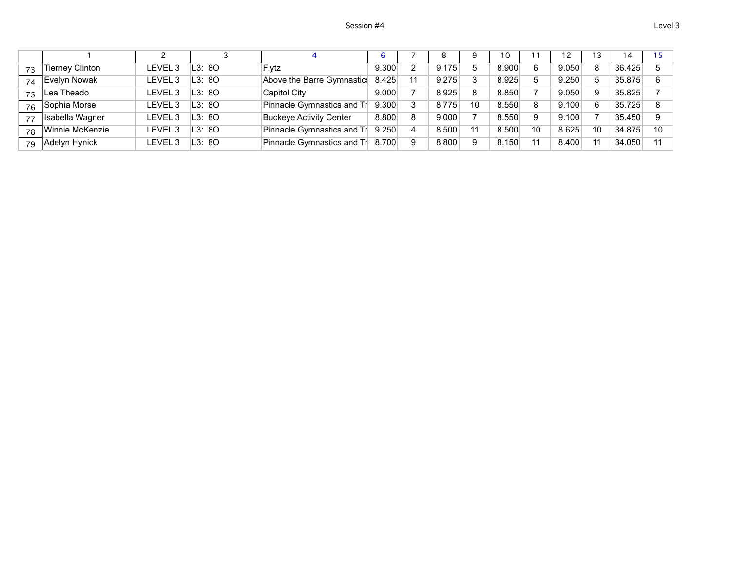|    |                        |                   |        |                                |       |   | 8     | a  | 10    |    |       |    | 14     |    |
|----|------------------------|-------------------|--------|--------------------------------|-------|---|-------|----|-------|----|-------|----|--------|----|
| 73 | <b>Tierney Clinton</b> | LEVEL 3           | L3: 8O | <b>Flytz</b>                   | 9.300 |   | 9.175 |    | 8.900 |    | 9.050 | 8  | 36.425 |    |
| 74 | Evelyn Nowak           | FVFI <sub>3</sub> | L3:8O  | Above the Barre Gymnastic      | 8.425 |   | 9.275 |    | 8.925 |    | 9.250 |    | 35.875 |    |
| 75 | Lea Theado             | LEVEL 3           | L3:8O  | <b>Capitol City</b>            | 9.000 |   | 8.925 | 8  | 8.850 |    | 9.050 | 9  | 35.825 |    |
| 76 | Sophia Morse           | LEVEL 3           | L3:8O  | Pinnacle Gymnastics and Tr     | 9.300 |   | 8.775 | 10 | 8.550 |    | 9.100 | 6  | 35.725 |    |
| 77 | Isabella Wagner        | LEVEL 3           | L3:8O  | <b>Buckeye Activity Center</b> | 8.800 | 8 | 9.000 |    | 8.550 | 9  | 9.100 |    | 35.450 |    |
| 78 | Winnie McKenzie        | LEVEL 3           | L3:8O  | Pinnacle Gymnastics and Tr     | 9.250 |   | 8.500 |    | 8.500 | 10 | 8.625 | 10 | 34.875 | 10 |
| 79 | Adelyn Hynick          | LEVEL 3           | L3: 8O | Pinnacle Gymnastics and Tr     | 8.700 |   | 8.800 | 9  | 8.150 |    | 8.400 |    | 34.050 |    |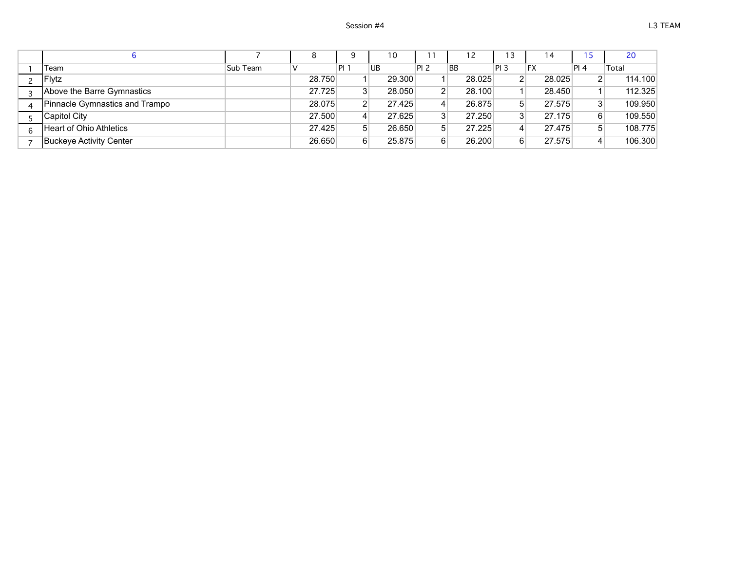|                                |          |        | 9              |    | 10     |                |           | 12     | 13              |    | $\overline{4}$ |              | 20      |
|--------------------------------|----------|--------|----------------|----|--------|----------------|-----------|--------|-----------------|----|----------------|--------------|---------|
| Team                           | Sub Team |        | 'ΡI.           | UB |        | <b>PI 2</b>    | <b>BB</b> |        | PI <sub>3</sub> | FX |                | PI 4         | Total   |
| Flytz                          |          | 28.750 |                |    | 29,300 |                |           | 28.025 |                 |    | 28.025         | $\mathsf{2}$ | 114.100 |
| Above the Barre Gymnastics     |          | 27.725 | 3              |    | 28.050 | 2 <sub>1</sub> |           | 28.100 |                 |    | 28.450         |              | 112.325 |
| Pinnacle Gymnastics and Trampo |          | 28.075 | $\overline{2}$ |    | 27.425 | 4 <sup>1</sup> |           | 26.875 |                 |    | 27.575         | 3            | 109.950 |
| Capitol City                   |          | 27.500 | $\overline{4}$ |    | 27.625 | 3              |           | 27.250 |                 |    | 27.175         | 6            | 109.550 |
| Heart of Ohio Athletics        |          | 27.425 | 5 <sup>5</sup> |    | 26.650 | 5 <sup>1</sup> |           | 27.225 |                 |    | 27.475         | 5            | 108.775 |
| Buckeye Activity Center        |          | 26.650 | 6              |    | 25.875 | 6              |           | 26,200 |                 |    | 27.575         | 4            | 106.300 |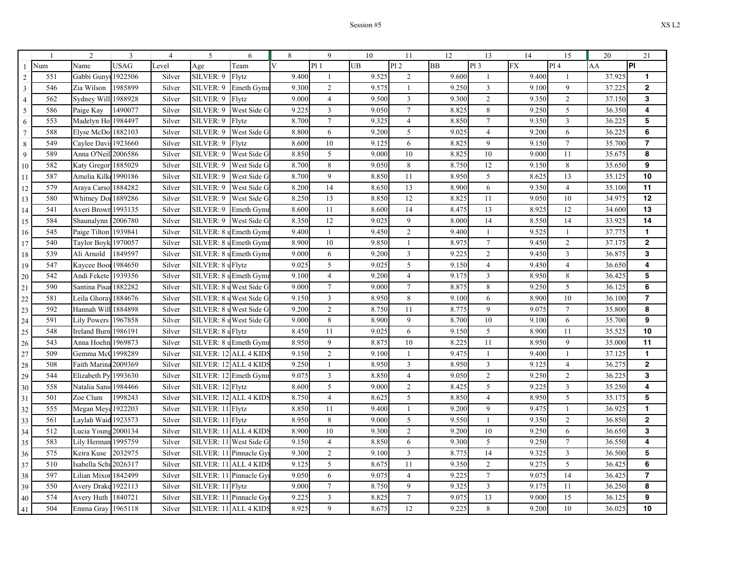|                 |     | $\overline{2}$        | 3           | $\overline{4}$ | 5                      | 6                       | 8              | 9              | 10    | 11              | 12        | 13              | 14        | 15              | 20     | 21                      |
|-----------------|-----|-----------------------|-------------|----------------|------------------------|-------------------------|----------------|----------------|-------|-----------------|-----------|-----------------|-----------|-----------------|--------|-------------------------|
| $\mathbf{1}$    | Num | Name                  | <b>USAG</b> | Level          | Age                    | Team                    | $\overline{V}$ | P11            | UB    | PI <sub>2</sub> | <b>BB</b> | P13             | <b>FX</b> | Pl <sub>4</sub> | AA     | İΡΙ                     |
| $\overline{c}$  | 551 | Gabbi Guny            | 1922506     | Silver         | SILVER: 9              | Flytz                   | 9.400          | $\overline{1}$ | 9.525 | $\overline{2}$  | 9.600     | $\mathbf{1}$    | 9.400     | $\mathbf{1}$    | 37.925 | $\mathbf{1}$            |
| $\mathfrak{Z}$  | 546 | Zia Wilson            | 1985899     | Silver         | SILVER: 9              | Emeth Gymr              | 9.300          | $\mathfrak{2}$ | 9.575 | $\overline{1}$  | 9.250     | 3               | 9.100     | 9               | 37.225 | $\overline{2}$          |
| $\overline{4}$  | 562 | Sydney Will 1988928   |             | Silver         | SILVER: 9              | Flytz                   | 9.000          | $\overline{4}$ | 9.500 | 3               | 9.300     | $\overline{c}$  | 9.350     | $\overline{2}$  | 37.150 | 3                       |
| 5               | 586 | Paige Kay             | 1490077     | Silver         | SILVER: 9              | West Side G             | 9.225          | 3              | 9.050 | $7\phantom{.0}$ | 8.825     | 8               | 9.250     | 5               | 36.350 | $\overline{\mathbf{4}}$ |
| 6               | 553 | Madelyn Hol 1984497   |             | Silver         | SILVER: 9              | Flytz                   | 8.700          | $\overline{7}$ | 9.325 | $\overline{4}$  | 8.850     | $7\phantom{.0}$ | 9.350     | $\mathbf{3}$    | 36.225 | 5                       |
| $7\phantom{.0}$ | 588 | Elyse McDo 1882103    |             | Silver         | SILVER: 9              | West Side G             | 8.800          | 6              | 9.200 | 5               | 9.025     | $\overline{4}$  | 9.200     | 6               | 36.225 | 6                       |
| 8               | 549 | Caylee Davis 1923660  |             | Silver         | SILVER: 9              | Flytz                   | 8.600          | 10             | 9.125 | 6               | 8.825     | 9               | 9.150     | $\tau$          | 35.700 | $\overline{\mathbf{r}}$ |
| 9               | 589 | Anna O'Neil 2006586   |             | Silver         | SILVER: 9              | West Side G             | 8.850          | $\sqrt{5}$     | 9.000 | 10              | 8.825     | $10\,$          | 9.000     | 11              | 35.675 | 8                       |
| 10              | 582 | Katy Gregor 1885029   |             | Silver         | SILVER: 9              | West Side G             | 8.700          | 8              | 9.050 | 8               | 8.750     | 12              | 9.150     | 8               | 35.650 | 9                       |
| 11              | 587 | Amelia Kilko          | 1990186     | Silver         | SILVER: 9              | West Side G             | 8.700          | 9              | 8.850 | 11              | 8.950     | 5               | 8.625     | 13              | 35.125 | 10                      |
| 12              | 579 | Araya Carsol 1884282  |             | Silver         | SILVER: 9              | West Side G             | 8.200          | 14             | 8.650 | 13              | 8.900     | 6               | 9.350     | $\overline{4}$  | 35.100 | 11                      |
| 13              | 580 | Whitney Dor 1889286   |             | Silver         | SILVER: 9              | West Side G             | 8.250          | 13             | 8.850 | 12              | 8.825     | 11              | 9.050     | 10              | 34.975 | 12                      |
| 14              | 541 | Averi Brown 1993135   |             | Silver         | SILVER: 9              | Emeth Gym               | 8.600          | 11             | 8.600 | 14              | 8.475     | 13              | 8.925     | 12              | 34.600 | 13                      |
| 15              | 584 | Shaunalynn            | 2006780     | Silver         | SILVER: 9              | West Side G             | 8.350          | 12             | 9.025 | 9               | 8.000     | 14              | 8.550     | 14              | 33.925 | 14                      |
| 16              | 545 | Paige Tilton 1939841  |             | Silver         |                        | SILVER: 8 u Emeth Gymi  | 9.400          | $\mathbf{1}$   | 9.450 | $\sqrt{2}$      | 9.400     | $\overline{1}$  | 9.525     | 1               | 37.775 | $\mathbf{1}$            |
| 17              | 540 | Taylor Boyk 1970057   |             | Silver         | SILVER: 8 u Emeth Gym  |                         | 8.900          | 10             | 9.850 | $\mathbf{1}$    | 8.975     | $\tau$          | 9.450     | 2               | 37.175 | $\mathbf{2}$            |
| 18              | 539 | Ali Arnold            | 1849597     | Silver         | SILVER: 8 u Emeth Gym  |                         | 9.000          | 6              | 9.200 | $\mathbf{3}$    | 9.225     | $\overline{2}$  | 9.450     | $\mathfrak{Z}$  | 36.875 | 3                       |
| 19              | 547 | Kaycee Boor           | 1984650     | Silver         | SILVER: 8 u Flytz      |                         | 9.025          | 5              | 9.025 | 5               | 9.150     | $\overline{4}$  | 9.450     | $\overline{4}$  | 36.650 | $\overline{\mathbf{4}}$ |
| 20              | 542 | Andi Fekete           | 1939356     | Silver         |                        | SILVER: 8 u Emeth Gym   | 9.100          | $\overline{4}$ | 9.200 | $\overline{4}$  | 9.175     | 3               | 8.950     | 8               | 36.425 | 5                       |
| 21              | 590 | Santina Pisa          | 1882282     | Silver         | SILVER: 8 u            | West Side G             | 9.000          | $\overline{7}$ | 9.000 | $7\phantom{.0}$ | 8.875     | 8               | 9.250     | 5               | 36.125 | 6                       |
| 22              | 581 | Leila Ghoray 1884676  |             | Silver         |                        | SILVER: 8 u West Side G | 9.150          | 3              | 8.950 | 8               | 9.100     | 6               | 8.900     | 10              | 36.100 | $\overline{7}$          |
| 23              | 592 | Hannah Will           | 1884898     | Silver         | SILVER: 8 u            | West Side G             | 9.200          | $\overline{2}$ | 8.750 | 11              | 8.775     | 9               | 9.075     | $\tau$          | 35.800 | 8                       |
| 24              | 591 | <b>Lily Powers</b>    | 1967858     | Silver         | SILVER: 8 u            | West Side G             | 9.000          | 8              | 8.900 | 9               | 8.700     | 10              | 9.100     | 6               | 35.700 | 9                       |
| 25              | 548 | <b>Ireland Burn</b>   | 1986191     | Silver         | SILVER: 8 u Flytz      |                         | 8.450          | 11             | 9.025 | 6               | 9.150     | 5               | 8.900     | 11              | 35.525 | 10                      |
| 26              | 543 | Anna Hoehn 1969873    |             | Silver         |                        | SILVER: 8 u Emeth Gymr  | 8.950          | 9              | 8.875 | 10              | 8.225     | 11              | 8.950     | 9               | 35.000 | 11                      |
| 27              | 509 | Gemma McC 1998289     |             | Silver         | SILVER: 12             | ALL 4 KID:              | 9.150          | $\mathfrak{2}$ | 9.100 | $\mathbf{1}$    | 9.475     | $\mathbf{1}$    | 9.400     | $\mathbf{1}$    | 37.125 | $\mathbf{1}$            |
| 28              | 508 | Faith Marina 2009369  |             | Silver         | SILVER: 12             | ALL 4 KID               | 9.25(          | $\mathbf{1}$   | 8.950 | 3               | 8.950     | 3               | 9.125     | $\overline{4}$  | 36.275 | $\overline{2}$          |
| 29              | 544 | Elizabeth Py          | 1993630     | Silver         | SILVER: 12 Emeth Gym   |                         | 9.075          | 3              | 8.850 | $\overline{4}$  | 9.050     | $\overline{c}$  | 9.250     | $\overline{2}$  | 36.225 | 3                       |
| 30              | 558 | Natalia Sans 1984466  |             | Silver         | SILVER: 12 Flytz       |                         | 8.600          | 5              | 9.000 | $\overline{2}$  | 8.425     | 5               | 9.225     | $\mathfrak{Z}$  | 35.250 | 4                       |
| 31              | 501 | Zoe Clum              | 1998243     | Silver         | SILVER: 12             | <b>ALL 4 KIDS</b>       | 8.750          | $\overline{4}$ | 8.625 | 5               | 8.850     | $\overline{4}$  | 8.950     | $\sqrt{5}$      | 35.175 | 5                       |
| 32              | 555 | Megan Meye 1922203    |             | Silver         | SILVER: 11 Flytz       |                         | 8.850          | 11             | 9.400 | $\overline{1}$  | 9.200     | 9               | 9.475     | $\mathbf{1}$    | 36.925 | $\mathbf{1}$            |
| 33              | 561 | Laylah Waid           | 1923573     | Silver         | SILVER: 11             | Flytz                   | 8.950          | 8              | 9.000 | 5               | 9.550     | $\mathbf{1}$    | 9.350     | $\overline{2}$  | 36.850 | $\mathbf 2$             |
| 34              | 512 | Lucia Young 2000134   |             | Silver         | SILVER: 11             | <b>ALL 4 KIDS</b>       | 8.900          | 10             | 9.300 | 2               | 9.200     | 10              | 9.250     | 6               | 36.650 | 3                       |
| 35              | 583 | Lily Herman           | 1995759     | Silver         | SILVER: 11             | West Side G             | 9.150          | $\overline{4}$ | 8.850 | 6               | 9.300     | 5               | 9.250     | $\tau$          | 36.550 | 4                       |
| 36              | 575 | Keira Kuse            | 2032975     | Silver         | SILVER: 11 Pinnacle Gy |                         | 9.300          | $\mathfrak{2}$ | 9.100 | $\mathbf{3}$    | 8.775     | 14              | 9.325     | 3               | 36.500 | 5                       |
| 37              | 510 | Isabella Schu 2026317 |             | Silver         | <b>SILVER: 1</b>       | <b>ALL 4 KIDS</b>       | 9.125          | 5              | 8.675 | 11              | 9.350     | $\overline{c}$  | 9.275     | 5               | 36.425 | 6                       |
| 38              | 597 | Lilian Mixor          | 1842499     | Silver         | <b>SILVER: 11</b>      | Pinnacle Gy             | 9.050          | 6              | 9.075 | $\overline{4}$  | 9.225     | $7\phantom{.0}$ | 9.075     | 14              | 36.425 | $\overline{7}$          |
| 39              | 550 | Avery Drake 1922113   |             | Silver         | SILVER: 11 Flytz       |                         | 9.000          | $\overline{7}$ | 8.750 | 9               | 9.325     | $\mathfrak z$   | 9.175     | 11              | 36.250 | 8                       |
| 40              | 574 | Avery Huth            | 1840721     | Silver         | <b>SILVER: 11</b>      | Pinnacle Gv             | 9.225          | $\overline{3}$ | 8.825 | $7\phantom{.0}$ | 9.075     | 13              | 9.000     | 15              | 36.125 | 9                       |
| 41              | 504 | Emma Gray 1965118     |             | Silver         | SILVER: 11             | <b>ALL 4 KIDS</b>       | 8.925          | 9              | 8.675 | 12              | 9.225     | 8               | 9.200     | 10              | 36.025 | 10                      |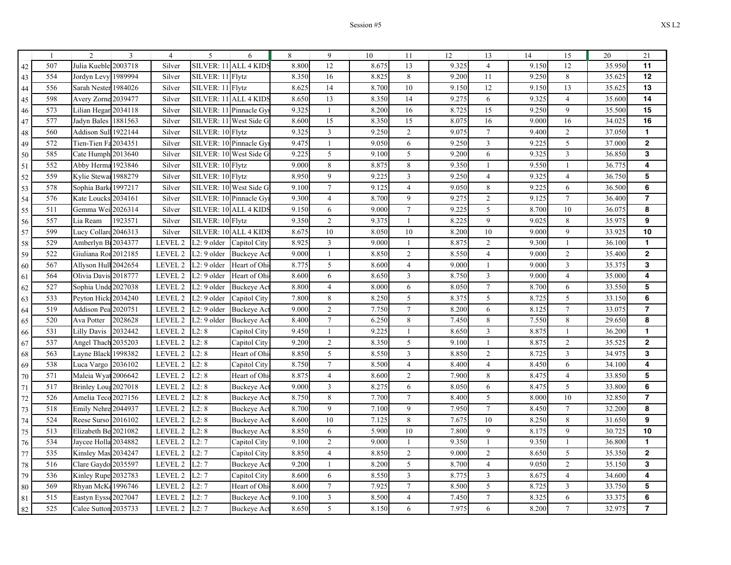|    |     | $\overline{c}$        | 3       | $\overline{4}$ | 5                | 6                       | 8     | 9              | 10    | 11             | 12    | 13             | 14    | 15              | 20     | 21                       |
|----|-----|-----------------------|---------|----------------|------------------|-------------------------|-------|----------------|-------|----------------|-------|----------------|-------|-----------------|--------|--------------------------|
| 42 | 507 | Julia Kuebler 2003718 |         | Silver         |                  | SILVER: 11 ALL 4 KIDS   | 8.800 | 12             | 8.675 | 13             | 9.325 | $\overline{4}$ | 9.150 | 12              | 35.950 | 11                       |
| 43 | 554 | Jordyn Levy 1989994   |         | Silver         | SILVER: 11 Flytz |                         | 8.350 | 16             | 8.825 | 8              | 9.200 | 11             | 9.250 | 8               | 35.625 | 12                       |
| 44 | 556 | Sarah Nester 1984026  |         | Silver         | SILVER: 11 Flytz |                         | 8.625 | 14             | 8.700 | 10             | 9.150 | 12             | 9.150 | 13              | 35.625 | 13                       |
| 45 | 598 | Avery Zorne 2039477   |         | Silver         | SILVER: 11       | <b>ALL 4 KIDS</b>       | 8.650 | 13             | 8.350 | 14             | 9.275 | 6              | 9.325 | $\overline{4}$  | 35.600 | 14                       |
| 46 | 573 | Lilian Hegar 2034118  |         | Silver         | SILVER: 11       | Pinnacle Gyi            | 9.325 | $\mathbf{1}$   | 8.200 | 16             | 8.725 | 15             | 9.250 | 9               | 35.500 | 15                       |
| 47 | 577 | Jadyn Bales 1881563   |         | Silver         |                  | SILVER: 11 West Side G  | 8.600 | 15             | 8.350 | 15             | 8.075 | 16             | 9.000 | 16              | 34.025 | 16                       |
| 48 | 560 | Addison Sull 1922144  |         | Silver         | SILVER: 10 Flytz |                         | 9.325 | $\mathfrak{Z}$ | 9.250 | $\overline{2}$ | 9.075 | $\tau$         | 9.400 | 2               | 37.050 | $\mathbf{1}$             |
| 49 | 572 | Tien-Tien Fa2034351   |         | Silver         |                  | SILVER: 10 Pinnacle Gyr | 9.475 | $\mathbf{1}$   | 9.050 | 6              | 9.250 | $\overline{3}$ | 9.225 | 5               | 37.000 | $\overline{2}$           |
| 50 | 585 | Cate Humph 2013640    |         | Silver         |                  | SILVER: 10 West Side G  | 9.225 | 5              | 9.100 | 5              | 9.200 | 6              | 9.325 | $\mathfrak{Z}$  | 36.850 | 3                        |
| 51 | 552 | Abby Herma 1923846    |         | Silver         | SILVER: 10 Flytz |                         | 9.000 | 8              | 8.875 | 8              | 9.350 | 1              | 9.550 | $\mathbf{1}$    | 36.775 | 4                        |
| 52 | 559 | Kylie Stewar 1988279  |         | Silver         | SILVER: 10 Flytz |                         | 8.950 | 9              | 9.225 | $\overline{3}$ | 9.250 | $\overline{4}$ | 9.325 | $\overline{4}$  | 36.750 | 5                        |
| 53 | 578 | Sophia Bark 1997217   |         | Silver         |                  | SILVER: 10 West Side G  | 9.100 | $\tau$         | 9.125 | $\overline{4}$ | 9.050 | 8              | 9.225 | 6               | 36.500 | 6                        |
| 54 | 576 | Kate Louck            | 2034161 | Silver         |                  | SILVER: 10 Pinnacle Gyr | 9.300 | $\overline{4}$ | 8.700 | 9              | 9.275 | $\overline{2}$ | 9.125 | $\tau$          | 36.400 | $\overline{\phantom{a}}$ |
| 55 | 511 | Gemma Wei 2026314     |         | Silver         |                  | SILVER: 10 ALL 4 KIDS   | 9.150 | 6              | 9.000 | $\tau$         | 9.225 | 5              | 8.700 | 10              | 36.075 | 8                        |
| 56 | 557 | Lia Ream              | 1923571 | Silver         | SILVER: 10 Flytz |                         | 9.350 | $\sqrt{2}$     | 9.375 | $\mathbf{1}$   | 8.225 | 9              | 9.025 | $\,$ 8 $\,$     | 35.975 | 9                        |
| 57 | 599 | Lucy Collard 2046313  |         | Silver         |                  | SILVER: 10 ALL 4 KIDS   | 8.675 | 10             | 8.050 | 10             | 8.200 | 10             | 9.000 | 9               | 33.925 | 10                       |
| 58 | 529 | Amberlyn B12034377    |         | LEVEL 2        | $L2:9$ older     | Capitol City            | 8.925 | 3              | 9.000 | 1              | 8.875 | $\overline{2}$ | 9.300 | 1               | 36.100 | $\mathbf{1}$             |
| 59 | 522 | Giuliana Ror 2012185  |         | LEVEL 2        | L2: 9 older      | <b>Buckeye Act</b>      | 9.000 | -1             | 8.850 | 2              | 8.550 | 4              | 9.000 | 2               | 35.400 | $\overline{2}$           |
| 60 | 567 | Allyson Hull 2042654  |         | LEVEL 2        | L2: 9 older      | Heart of Ohi            | 8.775 | 5              | 8.600 | $\overline{4}$ | 9.000 | $\mathbf{1}$   | 9.000 | $\overline{3}$  | 35.375 | 3                        |
| 61 | 564 | Olivia Davis 2018777  |         | LEVEL 2        | L2: 9 older      | Heart of Ohi            | 8.600 | 6              | 8.650 | 3              | 8.750 | $\mathfrak{Z}$ | 9.000 | $\overline{4}$  | 35.000 | 4                        |
| 62 | 527 | Sophia Unde 2027038   |         | LEVEL 2        | L2: 9 older      | <b>Buckeye Act</b>      | 8.800 | $\overline{4}$ | 8.000 | 6              | 8.050 | $\tau$         | 8.700 | 6               | 33.550 | 5                        |
| 63 | 533 | Peyton Hicks 2034240  |         | LEVEL 2        | $L2:9$ older     | Capitol City            | 7.800 | 8              | 8.250 | 5              | 8.375 | 5              | 8.725 | 5               | 33.150 | 6                        |
| 64 | 519 | Addison Pea 2020751   |         | LEVEL 2        | $L2:9$ older     | <b>Buckeye Act</b>      | 9.000 | 2              | 7.750 | $\tau$         | 8.200 | 6              | 8.125 | $7\overline{ }$ | 33.075 | $\overline{7}$           |
| 65 | 520 | Ava Potter            | 2028628 | LEVEL 2        | $L2:9$ older     | <b>Buckeye</b> Act      | 8.400 | $\tau$         | 6.250 | $8\,$          | 7.450 | 8              | 7.550 | 8               | 29.650 | 8                        |
| 66 | 531 | Lilly Davis           | 2032442 | LEVEL 2        | L2:8             | Capitol City            | 9.450 | -1             | 9.225 | 1              | 8.650 | $\mathfrak{Z}$ | 8.875 | 1               | 36.200 | $\mathbf{1}$             |
| 67 | 537 | Angel Thach 2035203   |         | LEVEL 2        | L2:8             | Capitol City            | 9.200 | $\sqrt{2}$     | 8.350 | 5              | 9.100 | $\mathbf{1}$   | 8.875 | $\sqrt{2}$      | 35.525 | $\mathbf{2}$             |
| 68 | 563 | Layne Black 1998382   |         | LEVEL 2        | L2:8             | Heart of Ohio           | 8.850 | 5              | 8.550 | $\mathfrak{Z}$ | 8.850 | 2              | 8.725 | $\mathfrak{Z}$  | 34.975 | 3                        |
| 69 | 538 | Luca Vargo 2036102    |         | LEVEL 2        | L2:8             | Capitol City            | 8.750 | $\tau$         | 8.500 | $\overline{4}$ | 8.400 | $\overline{4}$ | 8.450 | 6               | 34.100 | 4                        |
| 70 | 571 | Maleia Wyat 2006642   |         | LEVEL 2        | L2:8             | Heart of Ohi            | 8.875 | $\overline{4}$ | 8.600 | $\overline{2}$ | 7.900 | 8              | 8.475 | $\overline{4}$  | 33.850 | 5                        |
| 71 | 517 | Brinley Lous 2027018  |         | LEVEL 2        | L2:8             | <b>Buckeye Act</b>      | 9.000 | $\overline{3}$ | 8.275 | 6              | 8.050 | 6              | 8.475 | 5               | 33.800 | 6                        |
| 72 | 526 | Amelia Teco 2027156   |         | LEVEL 2        | L2:8             | Buckeye Act             | 8.750 | 8              | 7.700 | $\tau$         | 8.400 | 5              | 8.000 | 10              | 32.850 | 7                        |
| 73 | 518 | Emily Nehre 2044937   |         | LEVEL 2        | L2:8             | <b>Buckeye Act</b>      | 8.700 | 9              | 7.100 | 9              | 7.950 | $\tau$         | 8.450 | $\tau$          | 32.200 | 8                        |
| 74 | 524 | Reese Surso           | 2016102 | LEVEL 2        | L2:8             | <b>Buckeye</b> Act      | 8.600 | 10             | 7.125 | 8              | 7.675 | 10             | 8.250 | 8               | 31.650 | 9                        |
| 75 | 513 | Elizabeth Be 2021082  |         | LEVEL 2        | L2:8             | <b>Buckeye Act</b>      | 8.850 | 6              | 5.900 | 10             | 7.800 | 9              | 8.175 | 9               | 30.725 | 10                       |
| 76 | 534 | Jaycee Holla 2034882  |         | LEVEL 2        | L2:7             | Capitol City            | 9.100 | 2              | 9.000 | 1              | 9.350 | 1              | 9.350 | -1              | 36.800 | 1                        |
| 77 | 535 | Kinsley Mas 2034247   |         | LEVEL 2        | L2:7             | Capitol City            | 8.850 | $\overline{4}$ | 8.850 | $\overline{2}$ | 9.000 | $\overline{2}$ | 8.650 | 5               | 35.350 | $\overline{2}$           |
| 78 | 516 | Clare Gaydo 2035597   |         | LEVEL 2        | L2:7             | <b>Buckeye Act</b>      | 9.200 | $\overline{1}$ | 8.200 | 5              | 8.700 | $\overline{4}$ | 9.050 | $\sqrt{2}$      | 35.150 | 3                        |
| 79 | 536 | Kinley Rupe 2032783   |         | LEVEL 2        | L2:7             | Capitol City            | 8.600 | 6              | 8.550 | $\overline{3}$ | 8.775 | $\mathbf{3}$   | 8.675 | $\overline{4}$  | 34.600 | 4                        |
| 80 | 569 | Rhyan McKe            | 1996746 | LEVEL 2        | L2:7             | Heart of Ohi            | 8.600 | $\tau$         | 7.925 | $\tau$         | 8.500 | 5              | 8.725 | 3               | 33.750 | 5                        |
| 81 | 515 | Eastyn Eysse 2027047  |         | LEVEL 2        | L2:7             | Buckeye Act             | 9.100 | 3              | 8.500 | $\overline{4}$ | 7.450 | $\tau$         | 8.325 | 6               | 33.375 | 6                        |
| 82 | 525 | Calee Sutton 2035733  |         | LEVEL 2        | L2:7             | <b>Buckeye Act</b>      | 8.650 | 5              | 8.150 | 6              | 7.975 | 6              | 8.200 | $\overline{7}$  | 32.975 | $\overline{7}$           |
|    |     |                       |         |                |                  |                         |       |                |       |                |       |                |       |                 |        |                          |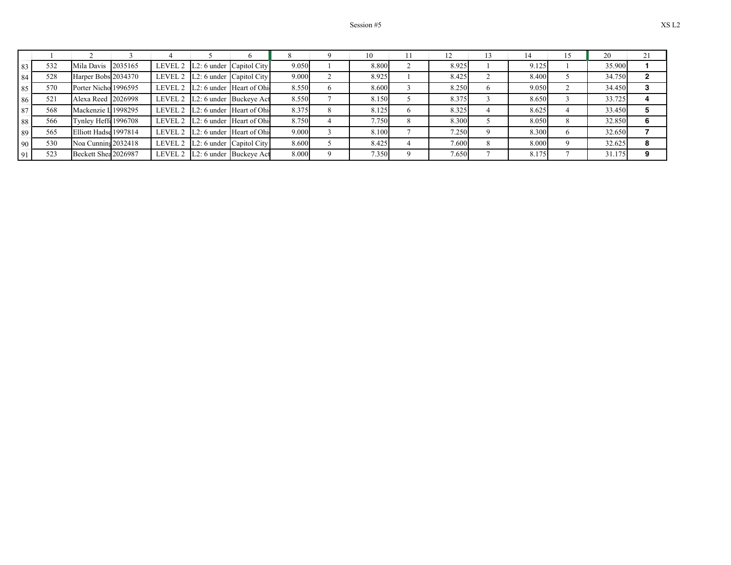|    |     |                       |         |                                    |       | 10    |       |       | 20     |  |
|----|-----|-----------------------|---------|------------------------------------|-------|-------|-------|-------|--------|--|
| 83 | 532 | Mila Davis            | 2035165 | LEVEL 2 $ L2:6$ under Capitol City | 9.050 | 8.800 | 8.925 | 9.125 | 35.900 |  |
| 84 | 528 | Harper Bobs 2034370   |         | LEVEL 2 L2: 6 under Capitol City   | 9.000 | 8.925 | 8.425 | 8.400 | 34.750 |  |
| 85 | 570 | Porter Nicho 1996595  |         | LEVEL 2 L2: 6 under Heart of Ohi   | 8.550 | 8.600 | 8.250 | 9.050 | 34.450 |  |
| 86 | 521 | Alexa Reed 2026998    |         | LEVEL 2   L2: 6 under Buckeye Act  | 8.550 | 8.150 | 8.375 | 8.650 | 33.725 |  |
| 87 | 568 | Mackenzie L 1998295   |         | LEVEL 2 L2: 6 under Heart of Ohi   | 8.375 | 8.125 | 8.325 | 8.625 | 33.450 |  |
| 88 | 566 | Tynley Heffe 1996708  |         | LEVEL 2 L2: 6 under Heart of Ohi   | 8.750 | 7.750 | 8.300 | 8.050 | 32.850 |  |
| 89 | 565 | Elliott Hadse 1997814 |         | LEVEL 2 L2: 6 under Heart of Ohi   | 9.000 | 8.100 | 7.250 | 8.300 | 32.650 |  |
| 90 | 530 | Noa Cunning 2032418   |         | LEVEL 2 $ L2:6$ under Capitol City | 8.600 | 8.425 | 7.600 | 8.000 | 32.625 |  |
| 91 | 523 | Beckett Shea 2026987  |         | LEVEL 2 L2: 6 under Buckeye Act    | 8.000 | 7.350 | 7.650 | 8.175 | 31.175 |  |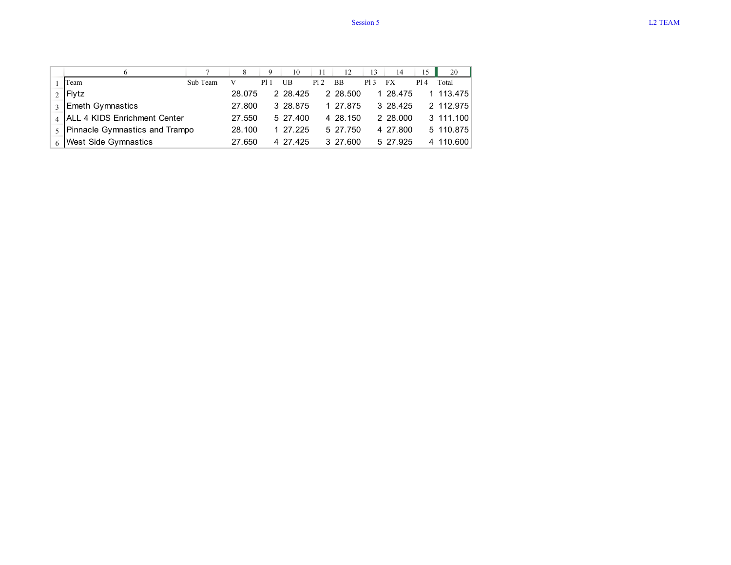|                                  |          |        | 9    | 10       |      | 12        | 13  | 14        | 15  | 20        |
|----------------------------------|----------|--------|------|----------|------|-----------|-----|-----------|-----|-----------|
| Team                             | Sub Team |        | P1 1 | UB       | P1 2 | <b>BB</b> | P13 | FX        | P14 | Total     |
| $2$ Flytz                        |          | 28.075 |      | 2 28.425 |      | 2 28.500  |     | 1 28.475  |     | 1 113.475 |
| 3 Emeth Gymnastics               |          | 27.800 |      | 3 28.875 |      | 1 27.875  |     | 3 28.425  |     | 2 112 975 |
| 4 ALL 4 KIDS Enrichment Center   |          | 27.550 |      | 5 27 400 |      | 4 28 150  |     | 2 28,000  |     | 3 111.100 |
| 5 Pinnacle Gymnastics and Trampo |          | 28.100 |      | - 27.225 |      | 5 27 750  |     | 4 27 800  |     | 5 110.875 |
| 6 West Side Gymnastics           |          | 27.650 |      | 4 27 425 |      | 3 27.600  |     | 5 27 9 25 |     | 4 110,600 |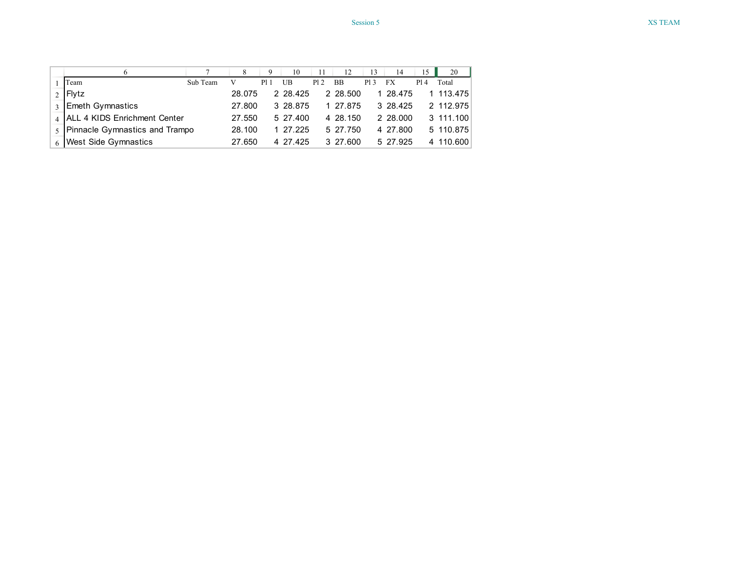|                                  |          |        | 9    | 10       |      | 12        | 13  | 14        | 15  | 20        |
|----------------------------------|----------|--------|------|----------|------|-----------|-----|-----------|-----|-----------|
| Team                             | Sub Team |        | P1 1 | UB       | P1 2 | <b>BB</b> | P13 | FX        | P14 | Total     |
| $2$ Flytz                        |          | 28.075 |      | 2 28.425 |      | 2 28.500  |     | 1 28.475  |     | 1 113.475 |
| 3 Emeth Gymnastics               |          | 27.800 |      | 3 28.875 |      | 1 27.875  |     | 3 28.425  |     | 2 112 975 |
| 4 ALL 4 KIDS Enrichment Center   |          | 27.550 |      | 5 27 400 |      | 4 28 150  |     | 2 28,000  |     | 3 111.100 |
| 5 Pinnacle Gymnastics and Trampo |          | 28.100 |      | - 27.225 |      | 5 27 750  |     | 4 27 800  |     | 5 110.875 |
| 6 West Side Gymnastics           |          | 27.650 |      | 4 27 425 |      | 3 27.600  |     | 5 27 9 25 |     | 4 110,600 |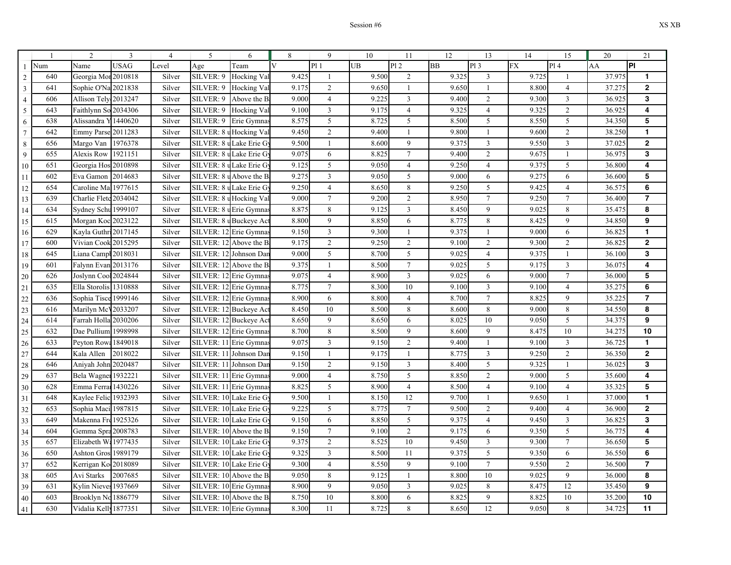|                |     | 2                     | $\overline{3}$ | $\overline{4}$ | 5                       | 6                      | 8                       | 9                | 10        | 11               | 12        | 13             | 14        | 15                      | 20     | 21               |
|----------------|-----|-----------------------|----------------|----------------|-------------------------|------------------------|-------------------------|------------------|-----------|------------------|-----------|----------------|-----------|-------------------------|--------|------------------|
|                | Num | Name                  | <b>USAG</b>    | Level          | Age                     | Team                   | $\overline{\mathbf{V}}$ | P1 1             | <b>UB</b> | PI <sub>2</sub>  | <b>BB</b> | PI3            | <b>FX</b> | P14                     | AA     | $\overline{P}$   |
| $\overline{2}$ | 640 | Georgia Mor 2010818   |                | Silver         | SILVER: 9               | Hocking Val            | 9.425                   | $\mathbf{1}$     | 9.500     | $\overline{2}$   | 9.325     | 3              | 9.725     | 1                       | 37.975 | $\mathbf{1}$     |
| $\mathfrak{Z}$ | 641 | Sophie O'Na           | 2021838        | Silver         | SILVER: 9               | Hocking Val            | 9.175                   | $\overline{2}$   | 9.650     | -1               | 9.650     | $\overline{1}$ | 8.800     | $\overline{4}$          | 37.275 | $\mathbf 2$      |
| $\overline{4}$ | 606 | Allison Tely 2013247  |                | Silver         | SILVER: 9               | Above the B            | 9.000                   | $\overline{4}$   | 9.225     | 3                | 9.400     | $\mathbf{2}$   | 9.300     | $\mathfrak{Z}$          | 36.925 | 3                |
| 5              | 643 | Faithlynn Sc          | 2034306        | Silver         | SILVER: 9               | Hocking Val            | 9.100                   | $\overline{3}$   | 9.175     | $\overline{4}$   | 9.325     | $\overline{4}$ | 9.325     | 2                       | 36.925 | 4                |
| 6              | 638 | Alissandra Y          | 1440620        | Silver         | SILVER: 9               | Erie Gymnas            | 8.575                   | 5                | 8.725     | 5                | 8.500     | 5              | 8.550     | $5\overline{)}$         | 34.350 | 5                |
| $\tau$         | 642 | <b>Emmy Parse</b>     | 2011283        | Silver         | SILVER: 8               | uHocking Val           | 9.450                   | $\sqrt{2}$       | 9.400     | 1                | 9.800     | 1              | 9.600     | $\sqrt{2}$              | 38.250 | $\mathbf{1}$     |
| $\,8\,$        | 656 | Margo Van             | 1976378        | Silver         | SILVER: 8 uLake Erie G  |                        | 9.500                   | $\mathbf{1}$     | 8.600     | $\mathbf{9}$     | 9.375     | $\mathfrak{Z}$ | 9.550     | $\overline{\mathbf{3}}$ | 37.025 | $\boldsymbol{2}$ |
| 9              | 655 | Alexis Row            | 1921151        | Silver         | SILVER: 8 uLake Erie G  |                        | 9.075                   | $\overline{6}$   | 8.825     | $\overline{7}$   | 9.400     | $\overline{2}$ | 9.675     | $\mathbf{1}$            | 36.975 | 3                |
| 10             | 651 | Georgia Hos 2010898   |                | Silver         | SILVER: 8 uLake Erie G  |                        | 9.125                   | 5                | 9.050     | $\overline{4}$   | 9.250     | $\overline{4}$ | 9.375     | 5                       | 36.800 | 4                |
| 11             | 602 | Eva Gamon             | 2014683        | Silver         | SILVER: 8               | u Above the B          | 9.275                   | $\mathfrak{Z}$   | 9.050     | 5                | 9.000     | 6              | 9.275     | 6                       | 36.600 | 5                |
| 12             | 654 | Caroline Mal          | 1977615        | Silver         | SILVER: 8 u Lake Erie G |                        | 9.250                   | $\overline{4}$   | 8.650     | $\,$ 8 $\,$      | 9.250     | 5              | 9.425     | $\overline{4}$          | 36.575 | 6                |
| 13             | 639 | Charlie Flete 2034042 |                | Silver         | SILVER: 8 u Hocking Val |                        | 9.000                   | $\overline{7}$   | 9.200     | $\mathbf{2}$     | 8.950     | $\overline{7}$ | 9.250     | $\tau$                  | 36.400 | $\overline{7}$   |
| 14             | 634 | Sydney Schu 1999107   |                | Silver         | SILVER: 8 u Erie Gymna  |                        | 8.875                   | 8                | 9.125     | $\overline{3}$   | 8.450     | 9              | 9.025     | 8                       | 35.475 | 8                |
| 15             | 615 | Morgan Koc 2023122    |                | Silver         | SILVER: 8 u Buckeye Ac  |                        | 8.800                   | 9                | 8.850     | 6                | 8.775     | $\,$ 8 $\,$    | 8.425     | 9                       | 34.850 | 9                |
| 16             | 629 | Kayla Guthri 2017145  |                | Silver         | SILVER: 12 Erie Gymna   |                        | 9.150                   | $\mathfrak{Z}$   | 9.300     | 1                | 9.375     | $\mathbf{1}$   | 9.000     | 6                       | 36.825 | $\mathbf{1}$     |
| 17             | 600 | Vivian Cook 2015295   |                | Silver         | SILVER: 12 Above the B  |                        | 9.175                   | $\overline{2}$   | 9.250     | $\overline{2}$   | 9.100     | $\overline{2}$ | 9.300     | $\overline{2}$          | 36.825 | $\mathbf 2$      |
| 18             | 645 | Liana Campl 2018031   |                | Silver         | SILVER: 12 Johnson Dar  |                        | 9.000                   | 5                | 8.700     | 5                | 9.025     | $\overline{4}$ | 9.375     | 1                       | 36.100 | 3                |
| 19             | 601 | Falynn Evan 2013176   |                | Silver         | SILVER: 12 Above the B  |                        | 9.375                   | $\mathbf{1}$     | 8.500     | $\tau$           | 9.025     | 5              | 9.175     | $\mathfrak{Z}$          | 36.075 | 4                |
| 20             | 626 | Joslynn Cool 2024844  |                | Silver         | SILVER: 12 Erie Gymna   |                        | 9.075                   | $\overline{4}$   | 8.900     | 3                | 9.025     | 6              | 9.000     | $7\phantom{.0}$         | 36.000 | 5                |
| 21             | 635 | Ella Storolis 1310888 |                | Silver         | SILVER: 12 Erie Gymna   |                        | 8.775                   | $\tau$           | 8.300     | 10               | 9.100     | $\mathfrak{Z}$ | 9.100     | $\overline{4}$          | 35.275 | $6\phantom{1}6$  |
| 22             | 636 | Sophia Tisce 1999146  |                | Silver         | SILVER: 12 Erie Gymna   |                        | 8.900                   | 6                | 8.800     | $\overline{4}$   | 8.700     | $\overline{7}$ | 8.825     | 9                       | 35.225 | $\overline{7}$   |
| 23             | 616 | Marilyn McV2033207    |                | Silver         | SILVER: 12 Buckeye Ac   |                        | 8.450                   | 10               | 8.500     | 8                | 8.600     | $\,8\,$        | 9.000     | 8                       | 34.550 | 8                |
| 24             | 614 | Farrah Holla 2030206  |                | Silver         | SILVER: 12 Buckeye Ac   |                        | 8.650                   | $\overline{9}$   | 8.650     | 6                | 8.025     | 10             | 9.050     | $\mathfrak{S}$          | 34.375 | 9                |
| 25             | 632 | Dae Pullium 1998998   |                | Silver         | SILVER: 12 Erie Gymna   |                        | 8.700                   | 8                | 8.500     | 9                | 8.600     | 9              | 8.475     | 10                      | 34.275 | 10               |
| 26             | 633 | Peyton Rows 1849018   |                | Silver         | SILVER: 11 Erie Gymna   |                        | 9.075                   | $\mathfrak{Z}$   | 9.150     | $\overline{2}$   | 9.400     | $\mathbf{1}$   | 9.100     | $\mathfrak{Z}$          | 36.725 | $\mathbf{1}$     |
| 27             | 644 | Kala Allen            | 2018022        | Silver         | SILVER: 11              | Johnson Dar            | 9.150                   | $\mathbf{1}$     | 9.175     | 1                | 8.775     | $\mathfrak{Z}$ | 9.250     | $\overline{2}$          | 36.350 | $\mathbf 2$      |
| 28             | 646 | Aniyah John 2020487   |                | Silver         | SILVER: 1               | Johnson Dar            | 9.150                   | $\sqrt{2}$       | 9.150     | $\mathfrak{Z}$   | 8.400     | $\sqrt{5}$     | 9.325     | $\mathbf{1}$            | 36.025 | 3                |
| 29             | 637 | Bela Wagner           | 1932221        | Silver         | SILVER: 11 Erie Gymna   |                        | 9.000                   | $\overline{4}$   | 8.750     | 5                | 8.850     | $\overline{2}$ | 9.000     | 5                       | 35.600 | 4                |
| 30             | 628 | Emma Ferrai 1430226   |                | Silver         | SILVER: 11 Erie Gymna   |                        | 8.825                   | 5                | 8.900     | $\overline{4}$   | 8.500     | $\overline{4}$ | 9.100     | $\overline{4}$          | 35.325 | 5                |
| 31             | 648 | Kaylee Felic 1932393  |                | Silver         | SILVER: 10 Lake Erie G  |                        | 9.500                   | $\mathbf{1}$     | 8.150     | 12               | 9.700     | 1              | 9.650     | $\mathbf{1}$            | 37.000 | $\mathbf{1}$     |
| 32             | 653 | Sophia Maci 1987815   |                | Silver         | SILVER: 10 Lake Erie G  |                        | 9.225                   | $\sqrt{5}$       | 8.775     | $\boldsymbol{7}$ | 9.500     | $\sqrt{2}$     | 9.400     | $\overline{4}$          | 36.900 | $\mathbf 2$      |
| 33             | 649 | Makenna Fre 1925326   |                | Silver         | SILVER: 10 Lake Erie G  |                        | 9.150                   | 6                | 8.850     | 5                | 9.375     | $\overline{4}$ | 9.450     | $\mathfrak{Z}$          | 36.825 | 3                |
| 34             | 604 | Gemma Spra 2008783    |                | Silver         | SILVER: 10 Above the B  |                        | 9.150                   | $\boldsymbol{7}$ | 9.100     | $\mathbf{2}$     | 9.175     | 6              | 9.350     | $5\overline{)}$         | 36.775 | 4                |
| 35             | 657 | Elizabeth W: 1977435  |                | Silver         | SILVER: 10 Lake Erie G  |                        | 9.375                   | $\overline{2}$   | 8.525     | 10               | 9.450     | $\mathfrak{Z}$ | 9.300     | $\overline{7}$          | 36.650 | 5                |
| 36             | 650 | Ashton Gros 1989179   |                | Silver         | SILVER: 10 Lake Erie G  |                        | 9.325                   | $\mathfrak{Z}$   | 8.500     | 11               | 9.375     | 5              | 9.350     | 6                       | 36.550 | 6                |
| 37             | 652 | Kerrigan Ko           | 2018089        | Silver         | SILVER: 10 Lake Erie G  |                        | 9.300                   | $\overline{4}$   | 8.550     | 9                | 9.100     | $\tau$         | 9.550     | 2                       | 36.500 | $\overline{7}$   |
| 38             | 605 | Avi Starks            | 2007685        | Silver         |                         | SILVER: 10 Above the B | 9.050                   | 8                | 9.125     | 1                | 8.800     | 10             | 9.025     | 9                       | 36.000 | 8                |
| 39             | 631 | Kylin Nieves 1937669  |                | Silver         | SILVER: 10 Erie Gymna   |                        | 8.900                   | $\overline{9}$   | 9.050     | $\mathfrak{Z}$   | 9.025     | $\,8\,$        | 8.475     | 12                      | 35.450 | 9                |
| 40             | 603 | Brooklyn No           | 1886779        | Silver         | SILVER: 10 Above the B  |                        | 8.750                   | $10\,$           | 8.800     | 6                | 8.825     | 9              | 8.825     | 10                      | 35.200 | 10               |
| 41             | 630 | Vidalia Kelly 1877351 |                | Silver         | SILVER: 10 Erie Gymna   |                        | 8.300                   | 11               | 8.725     | $\,8\,$          | 8.650     | 12             | 9.050     | $\,8\,$                 | 34.725 | 11               |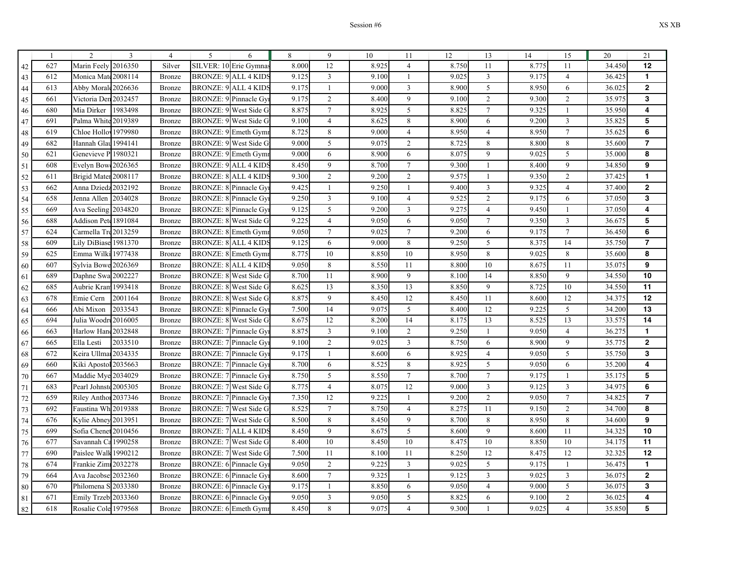| $\mathbf{1}$ | $\overline{c}$        | 3       | $\overline{4}$ | 5                           | 6                            | 8     | 9                | 10    | 11               | 12    | 13             | 14    | 15               | 20     | 21                      |
|--------------|-----------------------|---------|----------------|-----------------------------|------------------------------|-------|------------------|-------|------------------|-------|----------------|-------|------------------|--------|-------------------------|
| 627          | Marin Feely 2016350   |         | Silver         |                             | SILVER: 10 Erie Gymnas       | 8.000 | 12               | 8.925 | $\overline{4}$   | 8.750 | 11             | 8.775 | 11               | 34.450 | 12                      |
| 612          | Monica Mate 2008114   |         | Bronze         | <b>BRONZE: 9 ALL 4 KIDS</b> |                              | 9.125 | $\mathbf{3}$     | 9.100 | $\overline{1}$   | 9.025 | $\overline{3}$ | 9.175 | $\overline{4}$   | 36.425 | 1                       |
| 613          | Abby Morale 2026636   |         | Bronze         |                             | <b>BRONZE: 9 ALL 4 KIDS</b>  | 9.175 | $\mathbf{1}$     | 9.000 | $\overline{3}$   | 8.900 | $\overline{5}$ | 8.950 | 6                | 36.025 | $\mathbf 2$             |
| 661          | Victoria Den 2032457  |         | <b>Bronze</b>  |                             | <b>BRONZE: 9 Pinnacle Gy</b> | 9.175 | $\overline{2}$   | 8.400 | 9                | 9.100 | $\overline{2}$ | 9.300 | $\overline{c}$   | 35.975 | 3                       |
| 680          | Mia Dirker            | 1983498 | Bronze         |                             | <b>BRONZE: 9 West Side G</b> | 8.875 | $7\phantom{.0}$  | 8.925 | 5                | 8.825 | $\tau$         | 9.325 | $\mathbf{1}$     | 35.950 | 4                       |
| 691          | Palma White           | 2019389 | <b>Bronze</b>  |                             | BRONZE: 9 West Side G        | 9.100 | $\overline{4}$   | 8.625 | 8                | 8.900 | 6              | 9.200 | 3                | 35.825 | 5                       |
| 619          | Chloe Hollov          | 1979980 | Bronze         |                             | BRONZE: 9 Emeth Gym          | 8.725 | 8                | 9.000 | $\overline{4}$   | 8.950 | $\overline{4}$ | 8.950 | $\overline{7}$   | 35.625 | 6                       |
| 682          | Hannah Glaı           | 1994141 | Bronze         |                             | BRONZE: 9 West Side G        | 9.000 | 5                | 9.075 | $\overline{2}$   | 8.725 | 8              | 8.800 | 8                | 35.600 | $\overline{7}$          |
| 621          | Genevieve P           | 1980321 | Bronze         |                             | BRONZE: 9 Emeth Gym          | 9.000 | 6                | 8.900 | 6                | 8.075 | 9              | 9.025 | 5                | 35.000 | 8                       |
| 608          | Evelyn Bow            | 2026365 | Bronze         |                             | <b>BRONZE: 9 ALL 4 KIDS</b>  | 8.450 | 9                | 8.700 | $\overline{7}$   | 9.300 | $\mathbf{1}$   | 8.400 | 9                | 34.850 | 9                       |
| 611          | Brigid Mater 2008117  |         | Bronze         | <b>BRONZE: 8 ALL 4 KID:</b> |                              | 9.300 | $\overline{2}$   | 9.200 | $\overline{2}$   | 9.575 | $\mathbf{1}$   | 9.350 | $\overline{c}$   | 37.425 | 1                       |
| 662          | Anna Dziedz 2032192   |         | Bronze         | BRONZE: 8 Pinnacle Gy       |                              | 9.425 | $\mathbf{1}$     | 9.250 | $\mathbf{1}$     | 9.400 | $\overline{3}$ | 9.325 | $\overline{4}$   | 37.400 | $\bf 2$                 |
| 658          | Jenna Allen           | 2034028 | Bronze         |                             | BRONZE: 8 Pinnacle Gy        | 9.250 | $\mathbf{3}$     | 9.100 | $\overline{4}$   | 9.525 | $\overline{2}$ | 9.175 | $\boldsymbol{6}$ | 37.050 | 3                       |
| 669          | Ava Seeling           | 2034820 | Bronze         |                             | <b>BRONZE: 8 Pinnacle Gy</b> | 9.125 | $\mathfrak{S}$   | 9.200 | $\mathfrak{Z}$   | 9.275 | $\overline{4}$ | 9.450 | $\mathbf{1}$     | 37.050 | 4                       |
| 688          | Addison Pete          | 1891084 | Bronze         |                             | <b>BRONZE: 8 West Side G</b> | 9.225 | $\overline{4}$   | 9.050 | $\sqrt{6}$       | 9.050 | $\overline{7}$ | 9.350 | $\mathfrak{Z}$   | 36.675 | 5                       |
| 624          | Carmella Tre 2013259  |         | Bronze         |                             | BRONZE: 8 Emeth Gym          | 9.050 | $\boldsymbol{7}$ | 9.025 | $\overline{7}$   | 9.200 | 6              | 9.175 | $\overline{7}$   | 36.450 | 6                       |
| 609          | Lily DiBiase          | 1981370 | Bronze         |                             | <b>BRONZE: 8 ALL 4 KIDS</b>  | 9.125 | 6                | 9.000 | $\,8\,$          | 9.250 | 5              | 8.375 | 14               | 35.750 | $\overline{\mathbf{r}}$ |
| 625          | Emma Wilki            | 1977438 | Bronze         |                             | BRONZE: 8 Emeth Gym          | 8.775 | 10               | 8.850 | 10               | 8.950 | 8              | 9.025 | 8                | 35.600 | 8                       |
| 607          | Sylvia Bowe           | 2026369 | Bronze         |                             | <b>BRONZE: 8 ALL 4 KIDS</b>  | 9.050 | 8                | 8.550 | 11               | 8.800 | 10             | 8.675 | 11               | 35.075 | 9                       |
| 689          | Daphne Swa 2002227    |         | Bronze         |                             | BRONZE: 8 West Side G        | 8.700 | 11               | 8.900 | 9                | 8.100 | 14             | 8.850 | 9                | 34.550 | 10                      |
| 685          | Aubrie Kran           | 1993418 | Bronze         |                             | BRONZE: 8 West Side G        | 8.625 | 13               | 8.350 | 13               | 8.850 | 9              | 8.725 | 10               | 34.550 | 11                      |
| 678          | Emie Cern             | 2001164 | Bronze         | <b>BRONZE: 8</b>            | West Side G                  | 8.875 | 9                | 8.450 | 12               | 8.450 | 11             | 8.600 | 12               | 34.375 | 12                      |
| 666          | Abi Mixon             | 2033543 | Bronze         | BRONZE: 8 Pinnacle Gy       |                              | 7.500 | 14               | 9.075 | $\sqrt{5}$       | 8.400 | 12             | 9.225 | 5                | 34.200 | 13                      |
| 694          | Julia Woodrt 2016005  |         | Bronze         |                             | BRONZE: 8 West Side G        | 8.675 | 12               | 8.200 | $\overline{14}$  | 8.175 | 13             | 8.525 | 13               | 33.575 | $\overline{14}$         |
| 663          | Harlow Hand 2032848   |         | Bronze         |                             | BRONZE: 7 Pinnacle Gy        | 8.875 | $\mathfrak{Z}$   | 9.100 | $\sqrt{2}$       | 9.250 | $\mathbf{1}$   | 9.050 | $\overline{4}$   | 36.275 | $\mathbf{1}$            |
| 665          | Ella Lesti            | 2033510 | <b>Bronze</b>  |                             | BRONZE: 7 Pinnacle Gy        | 9.100 | $\overline{c}$   | 9.025 | $\mathfrak{Z}$   | 8.750 | $\sqrt{6}$     | 8.900 | 9                | 35.775 | $\mathbf 2$             |
| 672          | Keira Ullma           | 2034335 | Bronze         |                             | BRONZE: 7 Pinnacle Gy        | 9.175 | $\mathbf{1}$     | 8.600 | 6                | 8.925 | $\overline{4}$ | 9.050 | 5                | 35.750 | 3                       |
| 660          | Kiki Apostol          | 2035663 | <b>Bronze</b>  | BRONZE: 7 Pinnacle Gy       |                              | 8.700 | 6                | 8.525 | 8                | 8.925 | 5              | 9.050 | 6                | 35.200 | 4                       |
| 667          | Maddie Mye 2034029    |         | Bronze         |                             | BRONZE: 7 Pinnacle Gy        | 8.750 | 5                | 8.550 | $\boldsymbol{7}$ | 8.700 | $\tau$         | 9.175 | $\mathbf{1}$     | 35.175 | 5                       |
| 683          | Pearl Johnste 2005305 |         | Bronze         |                             | BRONZE: 7 West Side G        | 8.775 | $\overline{4}$   | 8.075 | 12               | 9.000 | $\mathfrak{Z}$ | 9.125 | $\overline{3}$   | 34.975 | 6                       |
| 659          | Riley Anthor 2037346  |         | Bronze         | <b>BRONZE: 7</b>            | Pinnacle Gy                  | 7.350 | 12               | 9.225 | $\overline{1}$   | 9.200 | $\overline{c}$ | 9.050 | $\overline{7}$   | 34.825 | 7                       |
| 692          | Faustina Wh           | 2019388 | Bronze         | <b>BRONZE: 7</b>            | West Side G                  | 8.525 | $7\phantom{.0}$  | 8.750 | $\overline{4}$   | 8.275 | 11             | 9.150 | $\mathfrak{2}$   | 34.700 | 8                       |
| 676          | Kylie Abney 2013951   |         | Bronze         |                             | BRONZE: 7 West Side G        | 8.500 | 8                | 8.450 | 9                | 8.700 | 8              | 8.950 | 8                | 34.600 | 9                       |
| 699          | Sofia Chenet 2010456  |         | Bronze         | <b>BRONZE: 7 ALL 4 KID:</b> |                              | 8.450 | $\overline{9}$   | 8.675 | $\overline{5}$   | 8.600 | 9              | 8.600 | 11               | 34.325 | 10                      |
| 677          | Savannah Ca           | 1990258 | <b>Bronze</b>  | <b>BRONZE: 7</b>            | West Side G                  | 8.400 | 10               | 8.450 | 10               | 8.475 | 10             | 8.850 | 10               | 34.175 | 11                      |
| 690          | Paislee Walk          | 1990212 | Bronze         | <b>BRONZE: 7</b>            | West Side G                  | 7.500 | 11               | 8.100 | 11               | 8.250 | 12             | 8.475 | 12               | 32.325 | 12                      |
| 674          | Frankie Zimi          | 2032278 | <b>Bronze</b>  |                             | BRONZE: 6 Pinnacle Gy        | 9.050 | 2                | 9.225 | $\mathfrak{Z}$   | 9.025 | 5              | 9.175 | 1                | 36.475 | 1.                      |
| 664          | Ava Jacobse           | 2032360 | Bronze         |                             | BRONZE: 6 Pinnacle Gy        | 8.600 | $\boldsymbol{7}$ | 9.325 | $\mathbf{1}$     | 9.125 | $\mathfrak{Z}$ | 9.025 | $\mathfrak z$    | 36.075 | $\overline{\mathbf{2}}$ |
| 670          | Philomena S           | 2033380 | Bronze         | BRONZE: 6 Pinnacle Gy       |                              | 9.175 | $\mathbf{1}$     | 8.850 | 6                | 9.050 | $\overline{4}$ | 9.000 | 5                | 36.075 | 3                       |
| 671          | Emily Trzeb 2033360   |         | Bronze         |                             | BRONZE: 6 Pinnacle Gy        | 9.050 | $\mathfrak{Z}$   | 9.050 | $\sqrt{5}$       | 8.825 | 6              | 9.100 | $\sqrt{2}$       | 36.025 | 4                       |
| 618          | Rosalie Cole 1979568  |         | Bronze         |                             | BRONZE: 6 Emeth Gymr         | 8.450 | 8                | 9.075 | $\overline{4}$   | 9.300 | 1              | 9.025 | $\overline{4}$   | 35.850 | 5                       |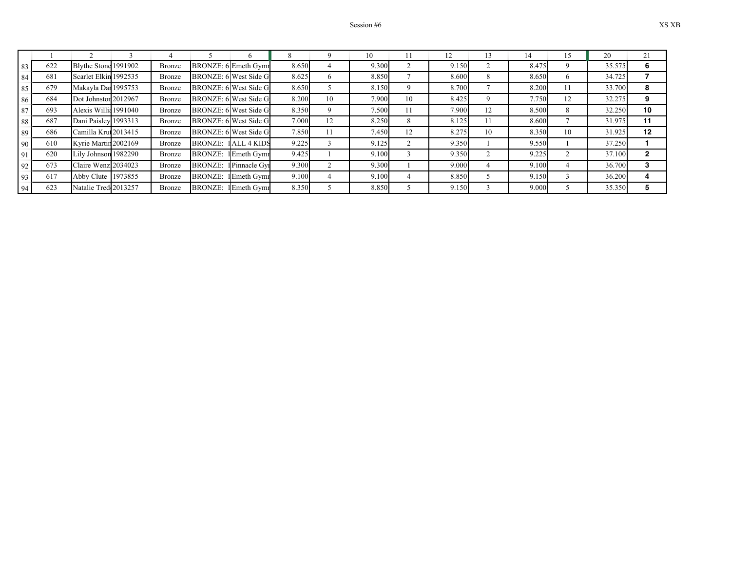|    |     |                       |               |                |                       |       |    | 10    |    |       |    |       |    | 20     | 21 |
|----|-----|-----------------------|---------------|----------------|-----------------------|-------|----|-------|----|-------|----|-------|----|--------|----|
| 83 | 622 | Blythe Stone 1991902  | <b>Bronze</b> |                | BRONZE: 6 Emeth Gymr  | 8.650 |    | 9.300 |    | 9.150 |    | 8.475 |    | 35.575 | b  |
| 84 | 681 | Scarlet Elkin 1992535 | <b>Bronze</b> |                | BRONZE: 6 West Side G | 8.625 | 6. | 8.850 |    | 8.600 | 8  | 8.650 | o  | 34.725 |    |
| 85 | 679 | Makayla Dar 1995753   | <b>Bronze</b> |                | BRONZE: 6 West Side G | 8.650 |    | 8.150 |    | 8.700 |    | 8.200 |    | 33.700 | 8  |
| 86 | 684 | Dot Johnston 2012967  | <b>Bronze</b> |                | BRONZE: 6 West Side G | 8.200 | 10 | 7.900 | 10 | 8.425 |    | 7.750 | 12 | 32.275 | 9  |
| 87 | 693 | Alexis Willia 1991040 | <b>Bronze</b> |                | BRONZE: 6 West Side G | 8.350 |    | 7.500 | 11 | 7.900 | 12 | 8.500 | 8  | 32.250 | 10 |
| 88 | 687 | Dani Paisley 1993313  | <b>Bronze</b> |                | BRONZE: 6 West Side G | 7.000 | 12 | 8.250 | Ō  | 8.125 | 11 | 8.600 |    | 31.975 | 11 |
| 89 | 686 | Camilla Krut 2013415  | <b>Bronze</b> |                | BRONZE: 6 West Side G | 7.850 |    | 7.450 | 12 | 8.275 | 10 | 8.350 | 10 | 31.925 | 12 |
| 90 | 610 | Kyrie Martin 2002169  | <b>Bronze</b> | <b>BRONZE:</b> | <b>ALL 4 KIDS</b>     | 9.225 |    | 9.125 |    | 9.350 |    | 9.550 |    | 37.250 |    |
| 91 | 620 | Lily Johnson 1982290  | <b>Bronze</b> | <b>BRONZE:</b> | Emeth Gymr            | 9.425 |    | 9.100 |    | 9.350 |    | 9.225 |    | 37.100 | ິ  |
| 92 | 673 | Claire Wenzl2034023   | Bronze        | <b>BRONZE:</b> | Pinnacle Gyr          | 9.300 |    | 9.300 |    | 9.000 |    | 9.100 |    | 36.700 | 3  |
| 93 | 617 | Abby Clute 1973855    | <b>Bronze</b> | <b>BRONZE:</b> | <b>Emeth Gymr</b>     | 9.100 |    | 9.100 |    | 8.850 |    | 9.150 |    | 36.200 |    |
| 94 | 623 | Natalie Tred 2013257  | Bronze        | <b>BRONZE:</b> | l Emeth Gymr          | 8.350 |    | 8.850 |    | 9.150 |    | 9.000 |    | 35.350 |    |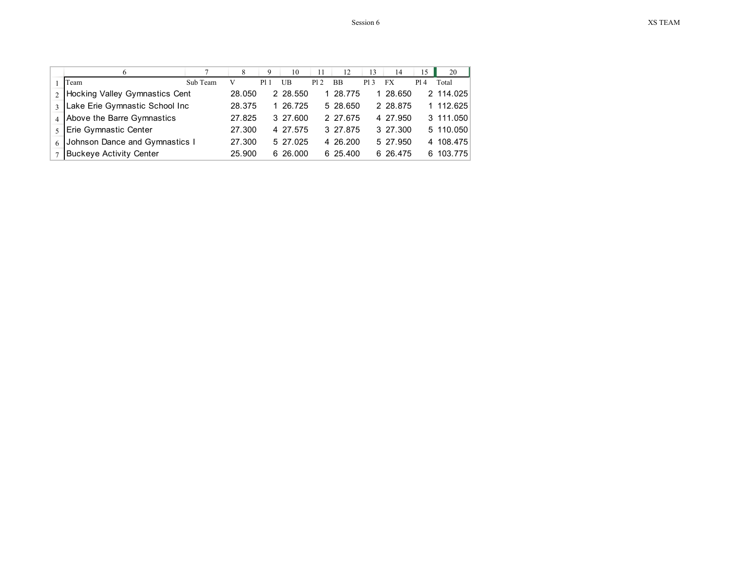|                |                                       |          | 8      | 9   | 10       | 11  | 12        | 13   | 14       | 15  | 20        |
|----------------|---------------------------------------|----------|--------|-----|----------|-----|-----------|------|----------|-----|-----------|
|                | Team                                  | Sub Team |        | P1. | UB       | P12 | <b>BB</b> | P1 3 | FX       | P14 | Total     |
| 2 <sub>1</sub> | <b>Hocking Valley Gymnastics Cent</b> |          | 28.050 |     | 2 28.550 |     | 28.775    |      | 28.650   |     | 2 114.025 |
| $\mathbf{3}$   | Lake Erie Gymnastic School Inc        |          | 28.375 |     | 26.725   |     | 5 28.650  |      | 2 28.875 |     | 1 112.625 |
|                | 4 Above the Barre Gymnastics          |          | 27.825 |     | 3 27 600 |     | 2 27.675  |      | 4 27.950 |     | 3 111.050 |
|                | Erie Gymnastic Center                 |          | 27.300 |     | 4 27 575 |     | 3 27 875  |      | 3 27.300 |     | 5 110.050 |
| 6              | Johnson Dance and Gymnastics I        |          | 27.300 |     | 5 27 025 |     | 4 26 200  |      | 5 27.950 |     | 4 108.475 |
|                | <b>Buckeye Activity Center</b>        |          | 25.900 |     | 6 26 000 |     | 6 25.400  |      | 6 26.475 | 6.  | 103.775   |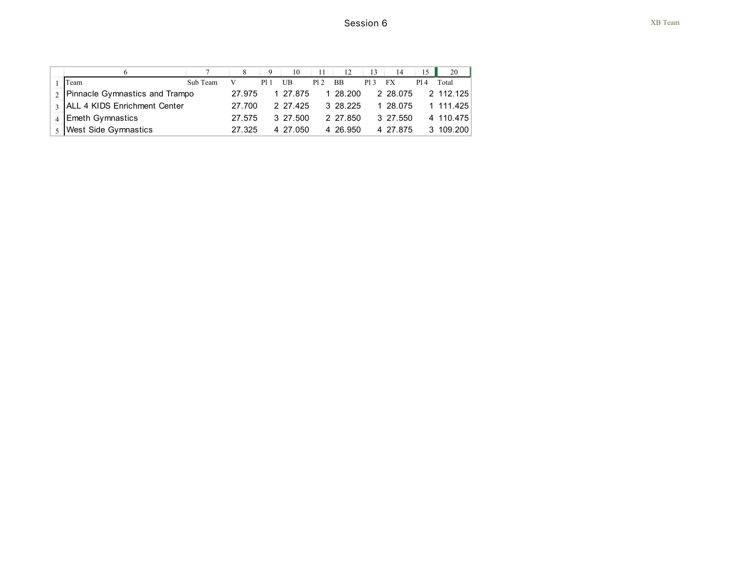|                                   |          |        |      | 10       |     | 12        |     | 14       |      | 20        |
|-----------------------------------|----------|--------|------|----------|-----|-----------|-----|----------|------|-----------|
| Team                              | Sub Team |        | P1 1 | UB       | P12 | <b>BB</b> | P13 | FX       | P1 4 | Total     |
| 2. Pinnacle Gymnastics and Trampo |          | 27.975 |      | 1 27.875 |     | 1 28.200  |     | 2 28.075 |      | 2 112 125 |
| 3 ALL 4 KIDS Enrichment Center    |          | 27.700 |      | 2 27 425 |     | 3 28 225  |     | 1 28.075 |      | 1 111 425 |
| <b>Emeth Gymnastics</b>           |          | 27.575 |      | 3 27.500 |     | 2 27.850  |     | 3 27.550 |      | 4 110.475 |
| <b>West Side Gymnastics</b>       |          | 27.325 |      | 4 27.050 |     | 4 26.950  |     | 4 27 875 | 3.   | 109.200   |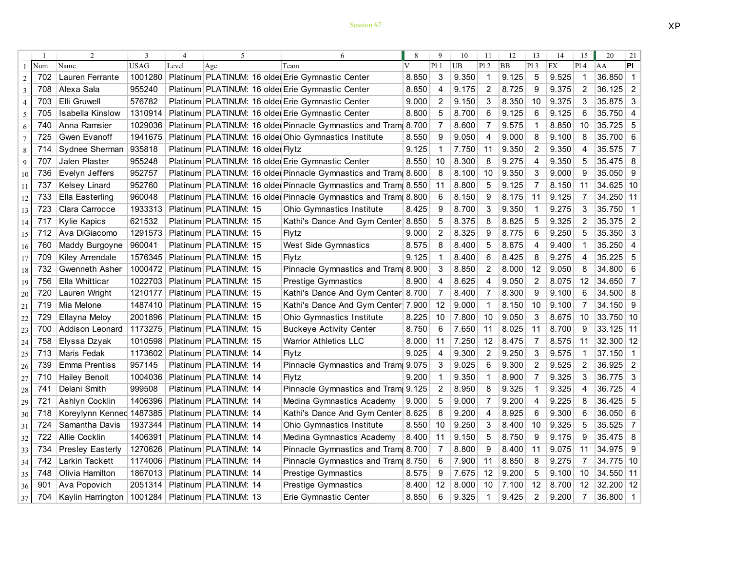|                |     | 2                           | 3           | 4     | 5                                |  | 6                                                              |                         | 9              | 10    | 11             | 12        | 13             | 14        | 15             | 20          | 21                       |
|----------------|-----|-----------------------------|-------------|-------|----------------------------------|--|----------------------------------------------------------------|-------------------------|----------------|-------|----------------|-----------|----------------|-----------|----------------|-------------|--------------------------|
|                | Num | Name                        | <b>USAG</b> | Level | Age                              |  | Team                                                           | $\overline{\mathbf{V}}$ | P11            | UB    | Pl2            | <b>BB</b> | P13            | <b>FX</b> | P14            | AA          | <b>PI</b>                |
| $\overline{c}$ | 702 | Lauren Ferrante             | 1001280     |       |                                  |  | Platinum PLATINUM: 16 olde Erie Gymnastic Center               | 8.850                   | 3              | 9.350 | $\mathbf 1$    | 9.125     | 5              | 9.525     | 1              | 36.850      | $\overline{1}$           |
| 3              | 708 | Alexa Sala                  | 955240      |       |                                  |  | Platinum PLATINUM: 16 older Erie Gymnastic Center              | 8.850                   | 4              | 9.175 | 2              | 8.725     | 9              | 9.375     | $\overline{2}$ | 36.125      | $\overline{2}$           |
| 4              | 703 | Elli Gruwell                | 576782      |       |                                  |  | Platinum PLATINUM: 16 olde Erie Gymnastic Center               | 9.000                   | $\overline{2}$ | 9.150 | 3              | 8.350     | 10             | 9.375     | 3              | 35.875      | 3                        |
| 5              | 705 | Isabella Kinslow            | 1310914     |       |                                  |  | Platinum PLATINUM: 16 older Erie Gymnastic Center              | 8.800                   | 5              | 8.700 | 6              | 9.125     | 6              | 9.125     | 6              | 35.750      | $\overline{4}$           |
| 6              | 740 | Anna Ramsier                | 1029036     |       |                                  |  | Platinum PLATINUM: 16 older Pinnacle Gymnastics and Tram       | 8.700                   | 7              | 8.600 | $\overline{7}$ | 9.575     | 1              | 8.850     | 10             | 35.725      | 5                        |
| $\tau$         | 725 | Gwen Evanoff                | 1941675     |       |                                  |  | Platinum PLATINUM: 16 older Ohio Gymnastics Institute          | 8.550                   | 9              | 9.050 | 4              | 9.000     | 8              | 9.100     | 8              | 35.700      | 6                        |
| 8              | 714 | Sydnee Sherman              | 935818      |       | Platinum PLATINUM: 16 olde Flytz |  |                                                                | 9.125                   |                | 7.750 | 11             | 9.350     | $\overline{2}$ | 9.350     | 4              | 35.575      | $\overline{7}$           |
| 9              | 707 | Jalen Plaster               | 955248      |       |                                  |  | Platinum PLATINUM: 16 olde Erie Gymnastic Center               | 8.550                   | 10             | 8.300 | 8              | 9.275     | 4              | 9.350     | 5              | 35.475      | 8                        |
| 10             | 736 | Evelyn Jeffers              | 952757      |       |                                  |  | Platinum PLATINUM: 16 older Pinnacle Gymnastics and Tram 8.600 |                         | 8              | 8.100 | 10             | 9.350     | 3              | 9.000     | 9              | 35.050      | 9                        |
| 11             | 737 | <b>Kelsey Linard</b>        | 952760      |       |                                  |  | Platinum PLATINUM: 16 older Pinnacle Gymnastics and Tram 8.550 |                         | 11             | 8.800 | 5              | 9.125     | $\overline{7}$ | 8.150     | 11             | $34.625$ 10 |                          |
| 12             | 733 | Ella Easterling             | 960048      |       |                                  |  | Platinum PLATINUM: 16 older Pinnacle Gymnastics and Tram 8.800 |                         | 6              | 8.150 | 9              | 8.175     | 11             | 9.125     | 7              | 34.250 11   |                          |
| 13             | 723 | Clara Carrocce              | 1933313     |       | Platinum PLATINUM: 15            |  | <b>Ohio Gymnastics Institute</b>                               | 8.425                   | 9              | 8.700 | 3              | 9.350     | $\mathbf{1}$   | 9.275     | 3              | 35.750      | $\overline{1}$           |
| 14             | 717 | <b>Kylie Kapics</b>         | 621532      |       | Platinum PLATINUM: 15            |  | Kathi's Dance And Gym Center                                   | 8.850                   | 5              | 8.375 | 8              | 8.825     | 5              | 9.325     | 2              | 35.375      | $\overline{2}$           |
| 15             | 712 | Ava DiGiacomo               | 1291573     |       | Platinum PLATINUM: 15            |  | Flytz                                                          | 9.000                   | $\overline{2}$ | 8.325 | 9              | 8.775     | 6              | 9.250     | 5              | 35.350      | 3                        |
| 16             | 760 | Maddy Burgoyne              | 960041      |       | Platinum PLATINUM: 15            |  | West Side Gymnastics                                           | 8.575                   | 8              | 8.400 | 5              | 8.875     | 4              | 9.400     | $\mathbf{1}$   | 35.250      | $\overline{4}$           |
| 17             | 709 | Kiley Arrendale             | 1576345     |       | Platinum PLATINUM: 15            |  | Flytz                                                          | 9.125                   | 1              | 8.400 | 6              | 8.425     | 8              | 9.275     | 4              | 35.225      | 5                        |
| 18             | 732 | Gwenneth Asher              | 1000472     |       | Platinum PLATINUM: 15            |  | Pinnacle Gymnastics and Tram 8.900                             |                         | 3              | 8.850 | $\overline{2}$ | 8.000     | 12             | 9.050     | 8              | 34.800      | 6                        |
| 19             | 756 | Ella Whitticar              | 1022703     |       | Platinum PLATINUM: 15            |  | <b>Prestige Gymnastics</b>                                     | 8.900                   | 4              | 8.625 | 4              | 9.050     | 2              | 8.075     | 12             | 34.650      | $\overline{7}$           |
| 20             | 720 | Lauren Wright               | 1210177     |       | Platinum PLATINUM: 15            |  | Kathi's Dance And Gym Center 8.700                             |                         | 7              | 8.400 | -7             | 8.300     | 9              | 9.100     | 6              | 34.500      | 8                        |
| 21             | 719 | Mia Melone                  | 1487410     |       | Platinum PLATINUM: 15            |  | Kathi's Dance And Gym Center                                   | 7.900                   | 12             | 9.000 | $\mathbf 1$    | 8.150     | 10             | 9.100     | 7              | 34.150      | - 9                      |
| 22             | 729 | Ellayna Meloy               | 2001896     |       | Platinum PLATINUM: 15            |  | Ohio Gymnastics Institute                                      | 8.225                   | 10             | 7.800 | 10             | 9.050     | 3              | 8.675     | 10             | 33.750 10   |                          |
| 23             | 700 | Addison Leonard             | 1173275     |       | Platinum PLATINUM: 15            |  | <b>Buckeye Activity Center</b>                                 | 8.750                   | 6              | 7.650 | 11             | 8.025     | 11             | 8.700     | 9              | 33.125 11   |                          |
| 24             | 758 | Elyssa Dzyak                | 1010598     |       | Platinum PLATINUM: 15            |  | <b>Warrior Athletics LLC</b>                                   | 8.000                   | 11             | 7.250 | 12             | 8.475     | 7              | 8.575     | 11             | 32.300 12   |                          |
| 25             | 713 | Maris Fedak                 | 1173602     |       | Platinum PLATINUM: 14            |  | Flytz                                                          | 9.025                   | $\overline{4}$ | 9.300 | $\overline{2}$ | 9.250     | 3              | 9.575     | 1              | 37.150      | $\overline{\mathbf{1}}$  |
| 26             | 739 | Emma Prentiss               | 957145      |       | Platinum PLATINUM: 14            |  | Pinnacle Gymnastics and Tram 9.075                             |                         | 3              | 9.025 | 6              | 9.300     | 2              | 9.525     | 2              | 36.925      | 2                        |
| 27             | 710 | <b>Hailey Benoit</b>        | 1004036     |       | Platinum PLATINUM: 14            |  | Flytz                                                          | 9.200                   | -1             | 9.350 | $\mathbf 1$    | 8.900     | 7              | 9.325     | 3              | 36.775      | 3                        |
| 28             | 741 | Delani Smith                | 999508      |       | Platinum PLATINUM: 14            |  | Pinnacle Gymnastics and Tram 9.125                             |                         | 2              | 8.950 | 8              | 9.325     | 1              | 9.325     | 4              | 36.725      | $\overline{4}$           |
| 29             | 721 | Ashlyn Cocklin              | 1406396     |       | Platinum PLATINUM: 14            |  | Medina Gymnastics Academy                                      | 9.000                   | 5              | 9.000 | -7             | 9.200     | 4              | 9.225     | 8              | 36.425      | 5                        |
| 30             | 718 | Koreylynn Kenned 1487385    |             |       | Platinum PLATINUM: 14            |  | Kathi's Dance And Gym Center                                   | 8.625                   | 8              | 9.200 | $\overline{4}$ | 8.925     | 6              | 9.300     | 6              | 36.050      | 6                        |
| 31             | 724 | Samantha Davis              | 1937344     |       | Platinum PLATINUM: 14            |  | <b>Ohio Gymnastics Institute</b>                               | 8.550                   | 10             | 9.250 | 3              | 8.400     | 10             | 9.325     | 5              | 35.525      | 7                        |
| 32             | 722 | <b>Allie Cocklin</b>        | 1406391     |       | Platinum PLATINUM: 14            |  | Medina Gymnastics Academy                                      | 8.400                   | 11             | 9.150 | -5             | 8.750     | 9              | 9.175     | 9              | $35.475$ 8  |                          |
| 33             | 734 | <b>Presley Easterly</b>     | 1270626     |       | Platinum PLATINUM: 14            |  | Pinnacle Gymnastics and Tram                                   | 8.700                   | 7              | 8.800 | 9              | 8.400     | 11             | 9.075     | 11             | 34.975 9    |                          |
| 34             | 742 | Larkin Tackett              | 1174006     |       | Platinum PLATINUM: 14            |  | Pinnacle Gymnastics and Tram                                   | 8.750                   | 6              | 7.900 | 11             | 8.850     | 8              | 9.275     | 7              | 34.775 10   |                          |
| 35             | 748 | Olivia Hamilton             | 1867013     |       | Platinum PLATINUM: 14            |  | <b>Prestige Gymnastics</b>                                     | 8.575                   | 9              | 7.675 | 12             | 9.200     | 5              | 9.100     | 10             | 34.550 11   |                          |
| 36             | 901 | Ava Popovich                | 2051314     |       | Platinum PLATINUM: 14            |  | <b>Prestige Gymnastics</b>                                     | 8.400                   | 12             | 8.000 | 10             | 7.100     | 12             | 8.700     | 12             | 32.200 12   |                          |
| 37             | 704 | Kaylin Harrington   1001284 |             |       | Platinum PLATINUM: 13            |  | Erie Gymnastic Center                                          | 8.850                   | 6              | 9.325 | 1              | 9.425     | $\overline{2}$ | 9.200     | 7              | 36.800      | $\overline{\phantom{1}}$ |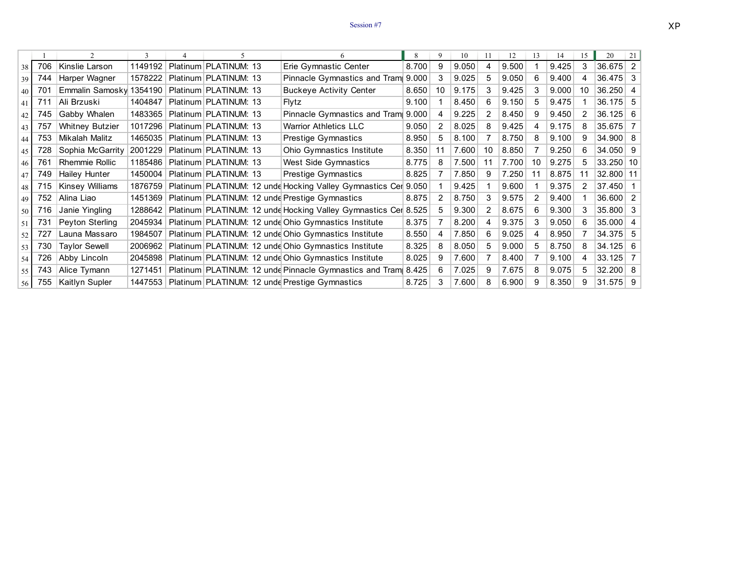## Session  $#7$  XP

|                 |     |                         | 3       |                       |                                                                | 8     | 9  | 10    |    | 12    | 13 | 14    | 15 | 20                 | 21             |
|-----------------|-----|-------------------------|---------|-----------------------|----------------------------------------------------------------|-------|----|-------|----|-------|----|-------|----|--------------------|----------------|
| 38              | 706 | Kinslie Larson          | 1149192 | Platinum PLATINUM: 13 | Erie Gymnastic Center                                          | 8.700 | 9  | 9.050 | 4  | 9.500 |    | 9.425 | 3  | $36.675$ 2         |                |
| 39              | 744 | Harper Wagner           | 1578222 | Platinum PLATINUM: 13 | Pinnacle Gymnastics and Tram                                   | 9.000 |    | 9.025 | 5  | 9.050 | 6  | 9.400 |    | $36.475$ 3         |                |
| 40 <sup>1</sup> | 701 | Emmalin Samosky 1354190 |         | Platinum PLATINUM: 13 | <b>Buckeye Activity Center</b>                                 | 8.650 | 10 | 9.175 |    | 9.425 | 3  | 9.000 | 10 | 36.250             | 4              |
| 41              | 711 | Ali Brzuski             | 1404847 | Platinum PLATINUM: 13 | Flytz                                                          | 9.100 |    | 8.450 | 6  | 9.150 | 5  | 9.475 |    | 36.175 5           |                |
| 42              | 745 | Gabby Whalen            | 1483365 | Platinum PLATINUM: 13 | Pinnacle Gymnastics and Tram                                   | 9.000 | 4  | 9.225 | 2  | 8.450 | 9  | 9.450 | 2  | $36.125 \mid 6$    |                |
| 43              | 757 | <b>Whitney Butzier</b>  | 1017296 | Platinum PLATINUM: 13 | <b>Warrior Athletics LLC</b>                                   | 9.050 | 2  | 8.025 | 8  | 9.425 | 4  | 9.175 | 8  | 35.675             | 7 <sup>1</sup> |
| 44              | 753 | Mikalah Malitz          | 1465035 | Platinum PLATINUM: 13 | <b>Prestige Gymnastics</b>                                     | 8.950 | 5  | 8.100 |    | 8.750 | 8  | 9.100 | 9  | 34.900   8         |                |
| 45              | 728 | Sophia McGarrity        | 2001229 | Platinum PLATINUM: 13 | Ohio Gymnastics Institute                                      | 8.350 | 11 | 7.600 | 10 | 8.850 |    | 9.250 | 6. | $34.050$ 9         |                |
| 46 <sup>1</sup> | 761 | <b>Rhemmie Rollic</b>   | 1185486 | Platinum PLATINUM: 13 | West Side Gymnastics                                           | 8.775 |    | 7.500 | 11 | 7.700 | 10 | 9.275 | 5. | 33.250 10          |                |
| 47              | 749 | Hailey Hunter           | 1450004 | Platinum PLATINUM: 13 | Prestige Gymnastics                                            | 8.825 |    | 7.850 | 9  | 7.250 | 11 | 8.875 | 11 | 32.800 11          |                |
| 48              | 715 | Kinsey Williams         | 1876759 |                       | Platinum PLATINUM: 12 unde Hocking Valley Gymnastics Cer 9.050 |       |    | 9.425 |    | 9.600 |    | 9.375 |    | 37.450             |                |
| 49              | 752 | Alina Liao              | 1451369 |                       | Platinum PLATINUM: 12 unde Prestige Gymnastics                 | 8.875 | 2  | 8.750 | 3  | 9.575 | 2  | 9.400 |    | 36.600             | 2              |
| 50 l            | 716 | Janie Yingling          | 1288642 |                       | Platinum PLATINUM: 12 unde Hocking Valley Gymnastics Cer       | 8.525 |    | 9.300 | 2  | 8.675 | 6  | 9.300 | 3  | $35.800$ 3         |                |
| -51             | 731 | Peyton Sterling         | 2045934 |                       | Platinum PLATINUM: 12 unde Ohio Gymnastics Institute           | 8.375 |    | 8.200 | 4  | 9.375 | 3  | 9.050 | 6. | 35.000             | $\overline{4}$ |
| 52              | 727 | Launa Massaro           | 1984507 |                       | Platinum PLATINUM: 12 unde Ohio Gymnastics Institute           | 8.550 |    | 7.850 | 6  | 9.025 | 4  | 8.950 |    | $34.375$ 5         |                |
| 53              | 730 | <b>Taylor Sewell</b>    | 2006962 |                       | Platinum PLATINUM: 12 unde Ohio Gymnastics Institute           | 8.325 | 8  | 8.050 | 5  | 9.000 | 5  | 8.750 | 8. | $34.125$ 6         |                |
| 54 l            | 726 | Abby Lincoln            | 2045898 |                       | Platinum PLATINUM: 12 unde Ohio Gymnastics Institute           | 8.025 | 9  | 7.600 |    | 8.400 |    | 9.100 | 4  | 33.125             | 7 <sup>1</sup> |
| 55 I            | 743 | Alice Tymann            | 1271451 |                       | Platinum PLATINUM: 12 unde Pinnacle Gymnastics and Tram        | 8.425 |    | 7.025 | 9  | 7.675 | 8  | 9.075 | 5. | $32.200 \,   \, 8$ |                |
| 56 l            | 755 | Kaitlyn Supler          | 1447553 |                       | Platinum PLATINUM: 12 unde Prestige Gymnastics                 | 8.725 |    | 7.600 | 8  | 6.900 | 9  | 8.350 | 9  | $31.575$ 9         |                |